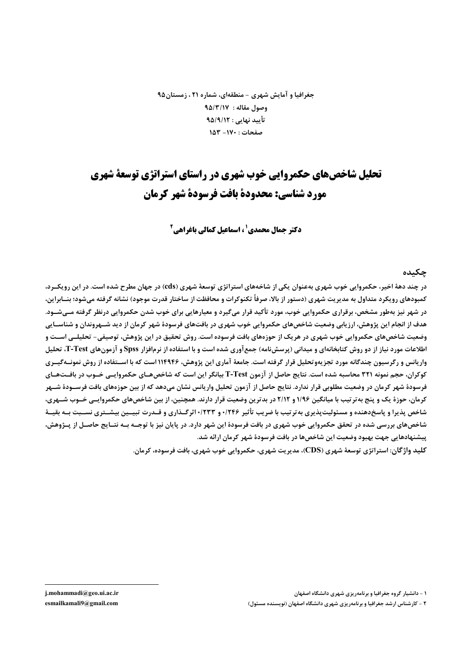جغرافیا و آمایش شهری – منطقهای، شماره ۲۱ ، زمستان ۹۵ وصول مقاله : ٩٥/٣/١٧ تأييد نهايي : ٩۵/٩/١٢ صفحات : ١٧٠- ١٥٣

# تحلیل شاخصهای حکمروایی خوب شهری در راستای استراتژی توسعهٔ شهری مورد شناسي: محدودة بافت فرسودة شهر كرمان

**دکتر حمال محمدی' ، اسماعیل کمالی باغراهی<sup>2</sup>** 

#### چکىدە

در چند دههٔ اخیر، حکمروایی خوب شهری بهعنوان یکی از شاخههای استراتژی توسعهٔ شهری (cds) در جهان مطرح شده است. در این رویکــرد، کمبودهای رویکرد متداول به مدیر بت شهری (دستور از بالا، صرفاً تکنوکرات و محافظت از ساختار قدرت موجود) نشانه گرفته مے شود؛ پنسابراین در شهر نیز بهطور مشخص، برقراری حکمروایی خوب، مورد تأکید قرار میگیرد و معیارهایی برای خوب شدن حکمروایی درنظر گرفته مــیشــود. هدف از انجام این پژوهش، ارزیابی وضعیت شاخصهای حکمروایی خوب شهری در بافتهای فرسودهٔ شهر کرمان از دید شــهروندان و شناســایی وضعیت شاخصهای حکمروایی خوب شهری در هریک از حوزههای بافت فرسوده است. روش تحقیق در این پژوهش، توصیفی- تحلیلــی اســت و اطلاعات مورد نیاز از دو روش کتابخانهای و میدانی (پرسشنامه) جمع آوری شده است و با استفاده از نرمافزار Spss و آزمونهای T-Test، تحلیل واریانس و رگرسیون چندگانه مورد تجزیهوتحلیل قرار گرفته است. جامعهٔ آماری این پژوهش، ۱۱۴۹۴۶ است که با اســتفاده از روش نمونــهگیــری کوکران، حجم نمونه ۳۲۱ محاسبه شده است. نتایج حاصل از آزمون T-Test بیانگر این است که شاخصهـای حکمروایـی خـوب در بافـتهـای فرسودهٔ شهر کرمان در وضعیت مطلوبی قرار ندارد. نتایج حاصل از آزمون تحلیل واریانس نشان می۵هد که از بین حوزههای بافت فرســودهٔ شــهر کرمان، حوزهٔ یک و پنج به تر تیب با میانگین ۱/۹۶ و ۲/۱۲ در بدترین وضعیت قرار دارند. همچنین، از بین شاخصهای حکمروایــی خــوب شــهری، شاخص پذیرا و پاسخدهنده و مسئولیتپذیری بهترتیب با ضریب تأثیر ۲۴۶/۰و ۱٬۲۳۳وگذاری و قـدرت تبیــین بیشــتری نســبت بــه بقیــهٔ شاخصهای بررسی شده در تحقق حکمروایی خوب شهری در بافت فرسودهٔ این شهر دارد. در پایان نیز با توجــه بــه نتــایج حاصــل از پــژوهش، پیشنهادهایی جهت بهبود وضعیت این شاخصها در بافت فرسودهٔ شهر کرمان ارائه شد.

کليد واژگان: استراتژي توسعۀ شهري (CDS)، مدير بت شهري، حکمروايي خوب شهري، بافت فرسوده، کرمان.

۱ - دانشیار گروه جغرافیا و برنامهریزی شهری دانشگاه اصفهان

۲ - کارشناس ارشد جغرافیا و برنامهریزی شهری دانشگاه اصفهان (نویسنده مسئول)

j.mohammadi@geo.ui.ac.ir esmailkamali9@gmail.com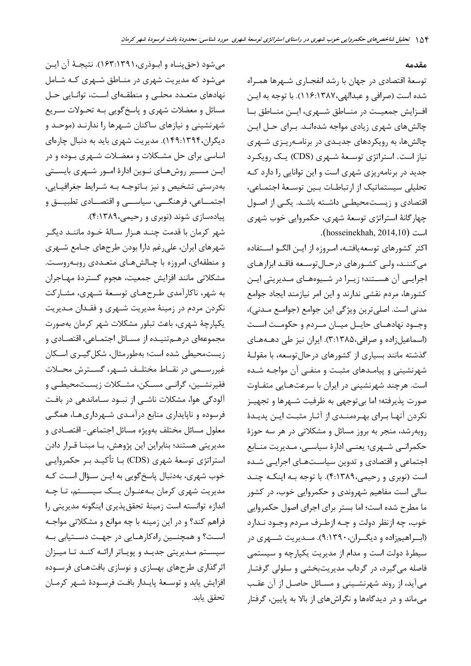مقدمه

توسعهٔ اقتصادی در جهان با رشد انفجـاری شـهرها همـراه شده است (صرافي و عبدالهي،١٣٨٧.(١١٤). با توجه به ايـن افـزايش جمعيــت در منــاطق شــهري، ايــن منــاطق بــا چالشهای شهری زیادی مواجه شدهانـد. بـرای حـل ایـن چالشها، به رویکردهای جدیـدی در برنامـهریـزی شـهری نیاز است. استراتژی توسعهٔ شـهری (CDS) یـک رویکـرد جدید در برنامهریزی شهری است و این توانایی را دارد کـه تحلیلی سیستماتیک از ارتباطـات بـین توسـعهٔ اجتمـاعی، اقتصادی و زیستمحیطی داشته باشد. یکیی از اصول چهارگانهٔ استراتژی توسعهٔ شهری، حکمروایی خوب شهری .(hosseinekhah, 2014,10)

اکثر کشورهای توسعه یافتـه، امـروزه از ایـن الگــو اســتفاده می کننـد، ولـی کشـورهای درحـال توسـعه فاقـد ابزارهـای اجرایــی آن هســتند؛ زیــرا در شــیوههــای مــدیریتی ایــن كشورها، مردم نقشى ندارند و اين امر نيازمند ايجاد جوامع مدني است. اصلي ترين ويژگي اين جوامع (جوامع مـدني)، وجــود نهادهــای حايــل ميــان مــردم و حکومــت اســت (اسماعیلزاده و صرافی،۱۳۸۵). ایران نیز طی دهـههـای گذشته مانند بسیاری از کشورهای درحال توسعه، با مقولـهٔ شهرنشینی و پیامـدهای مثبـت و منفـی آن مواجـه شـده است. هرچند شهرنشینی در ایران با سرعتهـایی متفـاوت صورت پذیرفته؛ اما بیتوجهی به ظرفیت شـهرها و تجهیـز نکردن آنها بـراي بهـرهمنـدي از آثـار مثبـت ايـن پديـدۀ روبهرشد، منجر به بروز مسائل و مشکلاتی در هر سه حوزهٔ حکمرانـي شــهري؛ يعنــي ادارهٔ سياســي، مــديريت منــابع اجتماعی و اقتصادی و تدوین سیاستهـای اجرایـی شـده است (نوبری و رحیمی،۴:۱۳۸۹). با توجه بـه اینکـه چنـد سالي است مفاهيم شهروندي و حکمروايي خوب، در کشور ما مطرح شده است؛ اما بستر برای اجرای اصول حکمروایی خوب، چه ازنظر دولت و چـه ازطـرف مـردم وجـود نـدارد (اب راهیمزاده و دیگ ران، ۹:۱۳۹۰). مـدیریت شـهری در سیطرهٔ دولت است و مدام از مدیریت یکپارچه و سیستمی فاصله می گیرد، در گرداب مدیریتبخشی و سلولی گرفتـار می آید، از روند شهرنشـینی و مسـائل حاصـل از آن عقـب می،ماند و در دیدگاهها و نگراشهای از بالا به پایین، گرفتار

مي شود (حق بنــاه و ابــوذري،١٣٩١:١۶٣). نتيجــهٔ آن ايــن میشود که مدیریت شهری در منـاطق شـهری کـه شـامل نهادهای متعـدد محلـی و منطقـهای اسـت، توانـایی حـل مسائل و معضلات شهري و پاسخ گويي بـه تحـولات سـريع شهرنشینی و نیازهای ساکنان شـهرها را ندارنـد (موحـد و دیگران،۱۳۹۴:۱۳۹۴). مدیریت شهری باید به دنبال چارهای اساسی برای حل مشـکلات و معضـلات شـهری بـوده و در ایــن مســیر روشهــای نــوین ادارهٔ امــور شــهری بایســتی بهدرستي تشخيص و نيز بـاتوجـه بـه شـرايط جغرافيـايي، اجتمــاعي، فرهنگـــي، سياســـي و اقتصــادي تطبيـــق و پیادهسازی شوند (نوبری و رحیمی،۴:۱۳۸۹).

شهر کرمان با قدمت چنـد هـزار سـالهٔ خـود ماننـد دیگـر شهرهای ایران، علی رغم دارا بودن طرحهای جـامع شـهری و منطقهای، امروزه با چـالشهـای متعـددی روبـهروسـت. مشكلاتي مانند افزايش جمعيت، هجوم گستردهٔ مهـاجران به شهر، ناکارآمدی طـرحهـای توسـعهٔ شـهری، مشـارکت نکردن مردم در زمینهٔ مدیریت شـهری و فقـدان مـدیریت يكپارچهٔ شهري، باعث تبلور مشكلات شهر كرمان بهصورت .<br>مجموعهای درهــمتنیــده از مســائل اجتمــاعی، اقتصــادی و زیستمحیطی شده است؛ بهطورمثال، شکل گیـری اسـکان غيررســمى در نقــاط مختلــف شــهر، گســترش محــلات فقيرنشــين، گرانــي مســكن، مشــكلات زيســتمحيطــي و آلودگی هوا، مشکلات ناشـی از نبــود ســاماندهی در بافـت فرسوده و ناپایداری منابع درآمـدی شـهرداریهـا، همگـی معلول مسائل مختلف بهویژه مسائل اجتماعی- اقتصـادی و مدیریتی هستند؛ بنابراین این پژوهش، بـا مبنــا قــرار دادن استراتژی توسعهٔ شهری (CDS) بـا تأکیــد بـر حکمروایــی خوب شهري، بهدنبال پاسخگويي به ايـن سـؤال اسـت كـه مديريت شهري كرمان بـهعنـوان يــك سيســتم، تـا چـه اندازه توانسته است زمینهٔ تحقق پذیری اینگونه مدیریتی را فراهم کند؟ و در این زمینه با چه موانع و مشکلاتی مواجـه است؟ و همچنـین راهکارهـایی در جهـت دسـتیابی بـه سیستم مدیریتی جدید و پویاتر ارائـه کنـد تـا میـزان اثرگذاری طرحهای بهسازی و نوسازی بافتهـای فرســوده افزايش يابد وتوسعة يايـدار بافـت فرسـودة شـهر كرمـان تحقق يابد.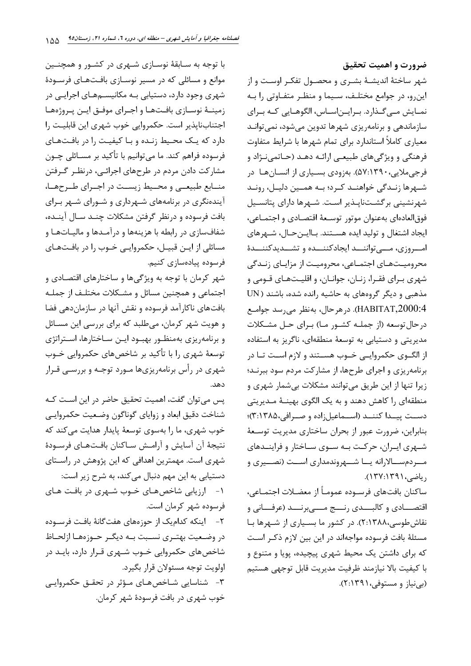ضرورت و اهميت تحقيق

شهر ساختهٔ اندیشـهٔ بشـری و محصـول تفکـر اوسـت و از این و، در جوامع مختلـف، سـیما و منظـر متفـاوتی را بـه نمـايش مـىگـذارد. بـرايـناسـاس، الگوهـايى كـه بـراي سازماندهی و برنامهریزی شهرها تدوین میشود، نمی توانـد معیاری کاملاً استاندارد برای تمام شهرها با شرایط متفاوت فرهنگي و ويژگي هاي طبيعي ارائـه دهـد (حـاتمي نـژاد و فرجی ملایی، ۱۳۹۰:۵۷). بهزودی بسـیاری از انســانهـا ِ در شــهرها زنــدگی خواهنــد کــرد؛ بــه همــین دلیــل، رونــد شهرنشینی برگشـتناپـذیر اسـت. شـهرها دارای پتانسـیل فوق|لعاده|ي بهعنوان موتور توسـعهٔ اقتصـادي و اجتمـاعي، ايجاد اشتغال و توليد ايده هسـتند. بـاايـنحـال، شـهرهاي امبروزي، مبي تواننــد ايجادكننــده و تشــديدكننــدة محرومیـتھـای اجتمـاعی، محرومیـت از مزایـای زنـدگی شهري بـراي فقـرا، زنـان، جوانـان، و اقليـتهـاي قـومي و مذهبی و دیگر گروههای به حاشیه رانده شده، باشند ( UN HABITAT,2000:4). در هر حال، بهنظر می رسد جوامع در حال توسعه (از جملـه کشـور مـا) بـرای حـل مشـکلات مدیریتی و دستیابی به توسعهٔ منطقهای، ناگریز به استفاده از الگــوی حکمروایــی خــوب هســتند و لازم اســت تــا در برنامه یزی و اجرای طرحها، از مشارکت مردم سود ببرنـد؛ زیرا تنها از این طریق می توانند مشکلات بی شمار شهری و منطقهای را کاهش دهند و به یک الگوی بهینـهٔ مـدیریتی دست پیدا کننـد (اسـماعیل;اده و صـرافی،۱۳۸۵)؛ بنابراین، ضرورت عبور از بحران ساختاری مدیریت توسعهٔ شـهری ایـران، حرکـت بـه سـوی سـاختار و فراینــدهای مـــردمســـالارانه يـــا شـــهروندمداري اســـت (نصـــيري و دیاضے،۱۳۹۱:۱۳۷).

ساكنان بافتهاي فرسـوده عمومـاً از معضـلات اجتمـاعي، اقتصــــادي و كالبــــدي رنــــج مــــيبرنــــد (عرفــــاني و نقاش طوسی،۲:۱۳۸۸). در کشور ما بسیاری از شـهرها بـا مسئلهٔ بافت فرسوده مواجهاند در این بین لازم ذکـر اسـت که برای داشتن یک محیط شهری پیچیده، پویا و متنوع و با كيفيت بالا نيازمند ظرفيت مديريت قابل توجهي هستيم (بي نياز و مستوفى، ٢:١٣٩١).

با توجه به سـابقهٔ نوسـازی شـهری در کشـور و همچنـین موانع و مسائلی که در مسیر نوسـازی بافـتهـای فرسـودهٔ شهری وجود دارد، دستیابی بـه مکانیســمهـای اجرایــی در زمینـهٔ نوسـازی بافـتهـا و اجـرای موفـق ایـن پـروژههـا اجتنابناپذیر است. حکمروایی خوب شهری این قابلیت را دارد که یک محیط زنـده و بـا کیفیـت را در بافـتهـای فرسوده فراهم کند. ما می توانیم با تأکید بر مسـائلی چــون مشارکت دادن مردم در طرحهای اجرائـی، درنظـر گـرفتن منـابع طبيعـي و محـيط زيسـت در اجـراي طـرحهـا، آیندهنگری در برنامههای شـهرداری و شـورای شـهر بـرای بافت فرسوده و درنظر گرفتن مشكلات چنـد سـال آينـده، شفافسازی در رابطه با هزینهها و درآمـدها و مالیـاتهـا و مسائلی از ایــن قبیــل، حکمروایــی خــوب را در بافــتهــای فرسوده پیادهسازی کنیم.

شهر کرمان با توجه به ویژگیها و ساختارهای اقتصادی و اجتماعی و همچنین مسائل و مشکلات مختلـف از جملـه بافتهای ناکارآمد فرسوده و نقش آنها در سازماندهی فضا و هویت شهر کرمان، میطلبد که برای بررسی این مسائل و برنامهریزی بهمنظـور بهبـود ایـن سـاختارها، اسـتراتژی توسعهٔ شهری را با تأکید بر شاخصهای حکمروایی خــوب شهری در رأس برنامهریزیها مـورد توجـه و بررسـی قـرار دهد.

پس می توان گفت، اهمیت تحقیق حاضر در این است کـه شناخت دقيق ابعاد و زواياي گوناگون وضـعيت حكمروايـي .<br>خوب شهري، ما <sub>د</sub>ا بهسوي توسعهٔ پايدار هدايت مي *ك*ند كه نتيجة آن آسايش و آرامش ساكنان بافتهاى فرسودة شهری است. مهمترین اهدافی که این پژوهش در راستای دستیابی به این مهم دنبال میکند، به شرح زیر است: ۱- ارزیابی شاخصهای خـوب شـهری در بافـت هـای فرسوده شهر کرمان است. ٢- اينكه كداميك از حوزههاى هفتگانهٔ بافت فرســوده در وضعیت بهتـري نسـبت بـه ديگـر حـوزههـا ازلحـاظ شاخصهای حکمروایی خــوب شــهری قــرار دارد، بایــد در اولويت توجه مسئولان قرار بگيرد. ۳-۔ شناسایی شـاخصهـای مـؤثر در تحقـق حکمروایـی خوب شهری در بافت فرسودهٔ شهر کرمان.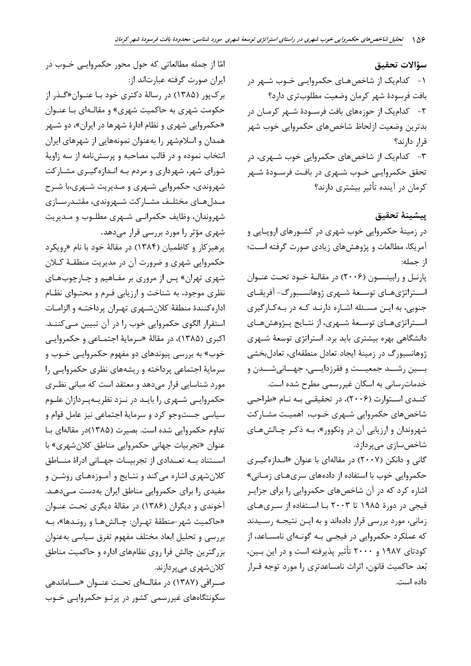سؤالات تحقيق ۱- کدامیک از شاخصهای حکمروایی خـوب شـهر در بافت فرسودة شهر كرمان وضعيت مطلوبترى دارد؟ ۲- کدام یک از حوزههای بافت فرسـودهٔ شـهر کرمـان در بدترين وضعيت ازلحاظ شاخصهاي حكمروايي خوب شهر قرار دارند؟ ۳- کدام یک از شاخصهای حکمروایی خوب شـهری، در تحقق حکمروایے خــوب شــهری در بافـت فرســودهٔ شــهر کرمان در آینده تأثیر بیشتری دارند؟

ييشينة تحقيق در زمینهٔ حکمروایی خوب شهری در کشـورهای اروپـایی و آمریکا، مطالعات و پژوهشهای زیادی صورت گرفته است؛ از جمله:

پارنـل و رابينسـون (٢٠٠۶) در مقالـهٔ خـود تحـت عنـوان اســتراتژىهــاى توســعهٔ شــهرى ژوهانســبورگ- آفريقــاى جنوبی، به ایـن مسـئله اشـاره دارنـد کـه در بـهکـارگیری استراتژیهای توسعهٔ شهری، از نتـایج پـژوهشهـای دانشگاهی بهره بیشتری باید برد. استراتژی توسعهٔ شـهری ژوهانسبورگ در زمینهٔ ایجاد تعادل منطقهای، تعادلبخشی بسين رشــد جمعيــت و فقرزدايـــي، جهــانيشــدن و خدمات رسانی به اسکان غیررسمی مطرح شده است.

کنـدی اسـتوارت (۲۰۰۶)، در تحقیقـی بـه نـام «طراحـی شاخصهای حکمروایی شـهری خـوب، اهمیـت مشـارکت شهروندان و ارزيابي آن در ونکوور»، بـه ذکـر چـالشهـاي شاخص سازی می پردازد.

گانی و دانکن (۲۰۰۷) در مقالهای با عنوان «انـدازهگیـری حکمروایی خوب با استفاده از دادههای سریهـای زمـانی» اشاره کرد که در آن شاخصهای حکمروایی را برای جزایـر فیجی در دورهٔ ۱۹۸۵ تا ۲۰۰۳ بـا اسـتفاده از سـریهـای زمانی، مورد بررسی قرار دادهاند و به ایـن نتیجـه رسـیدند که عملکرد حکمروایی در فیجـی بـه گونـهای نامسـاعد، از کودتای ۱۹۸۷ و ۲۰۰۰ تأثیر پذیرفته است و در این بـین، بُعد حاکمیت قانون، اثرات نامساعدتری را مورد توجه قـرار داده است.

امّا از جمله مطالعاتی که حول محور حکمروایـی خــوب در ايران صورت گرفته عبارتاند از: برکپور (۱۳۸۵) در رسالهٔ دکتری خود بـا عنــوان«گــذر از حکومت شهری به حاکمیت شهری» و مقالـهای بـا عنــوان «حکمروایی شهری و نظام ادارهٔ شهرها در ایران»، دو شـهر همدان و اسلامشهر را بهعنوان نمونههایی از شهرهای ایران انتخاب نموده و در قالب مصاحبه و پرسشنامه از سه زاویهٔ شورای شهر، شهرداری و مردم بـه انـدازهگیـری مشـارکت شهروندی، حکمروایی شـهری و مـدیریت شـهری،با شـرح مـدلهـاي مختلـف مشـاركت شـهروندي، مقتـدرسـازي شهروندان، وظایف حکمرانبی شـهری مطلـوب و مـدیریت شهری مؤثر را مورد بررسی قرار میدهد.

پرهيز کار و کاظميان (۱۳۸۴) در مقالهٔ خود با نام «رويکرد حکمروایی شهری و ضرورت آن در مدیریت منطقـهٔ کــلان شهری تهران» پس از مروری بر مفـاهیم و چـارچوبهـای نظری موجود، به شناخت و ارزیابی فـرم و محتـوای نظـام اداره كنندة منطقة كلان شهرى تهران پرداختـه و الزامـات استقرار الگوی حکمروایی خوب را در آن تبیین مےکننـد. اکبری (۱۳۸۵)، در مقالهٔ «سرمایهٔ اجتمـاعی و حکمروایـی خوب» به بررسی پیوندهای دو مفهوم حکمروایـی خــوب و سرمایهٔ اجتماعی پرداخته و ریشههای نظری حکمروایی را مورد شناسایی قرار می دهد و معتقد است که مبانی نظـری حکمروایی شـهری را بایـد در نـزد نظریـهپـردازان علـوم سیاسی جستوجو کرد و سرمایهٔ اجتماعی نیز عامل قوام و تداوم حکمروایی شده است. بصیرت (۱۳۸۵)در مقالهای بـا عنوان «تجربیات جهانی حکمروایی مناطق کلان شهری» با اســتناد بــه تعــدادى از تجربيــات جهــانى ادراهٔ منــاطق کلان شهری اشاره میکند و نتـایج و آمـوزههـای روشـن و مفیدی را برای حکمروایی مناطق ایران بهدست مـیٖدهـد. آخوندی و دیگران (۱۳۸۶) در مقالهٔ دیگری تحت عنـوان «حاكميت شهر-منطقهٔ تهـران: چـالشهـا و رونـدها»، بـه بررسی و تحلیل ابعاد مختلف مفهوم تفرق سیاسی بهعنوان بزرگترین چالش فرا روی نظامهای اداره و حاکمیت مناطق کلان شهری مے پر دازند.

صـرافي (١٣٨٧) در مقالــهاي تحــت عنــوان «ســاماندهي سکونتگاههای غیررسمی کشور در پرتو حکمروایی خـوب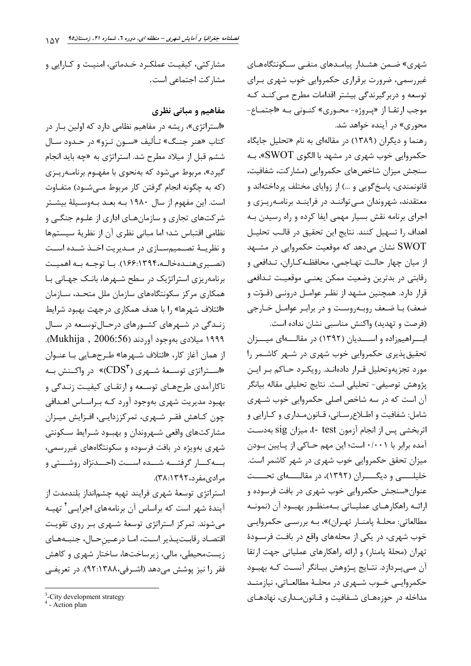شهری» ضـمن هشـدار پیامـدهای منفـی سـکونتگاههـای غیررسمی، ضرورت برقراری حکمروایی خوب شهری بـرای توسعه و دربرگیرندگی بیشتر اقدامات مطرح مـی کنـد کـه موجب ارتقــا از «پــروژه- محــوري» كنــوني بــه «اجتمــاع-محوری» در آینده خواهد شد.

رهنما و دیگران (۱۳۸۹) در مقالهای به نام «تحلیل جایگاه حکمروایی خوب شهری در مشهد با الگوی SWOT»، بـه سنجش ميزان شاخصهاي حكمروايي (مشاركت، شفافيت، قانونمندی، پاسخ گویی و …) از زوایای مختلف پرداختهاند و معتقدند، شهروندان مےتواننـد در فراینـد برنامـهریـزی و اجرای برنامه نقش بسیار مهمی ایفا کرده و راه رسیدن بـه اهداف را تسهيل كنند. نتايج اين تحقيق در قالب تحليـل نشان میدهد که موقعیت حکمروایی در مشـهد  ${\rm SWOT}$ از ميان چهار حالـت تهـاجمي، محافظـه كـاران، تـدافعي و رقابتي در بدترين وضعيت ممكن يعنـي موقعيـت تـدافعي قرار دارد. همچنین مشهد از نظـر عوامـل درونـی (قـوّت و ضعف) بـا ضـعف روبـهروسـت و در برابـر عوامـل خـارجى (فرصت و تهدید) واکنش مناسبی نشان نداده است.

ابسراهیمزاده و اسسدیان (۱۳۹۲) در مقالسهای میسزان تحقیق پذیری حکمروایی خوب شهری در شـهر کاشـمر را مورد تجزیهوتحلیل قـرار دادهانـد. رویکـرد حـاکم بـر ایـن يژوهش توصيفي- تحليلي است. نتايج تحليلي مقاله بيانگر آن است که در سه شاخص اصلی حکمروایی خوب شـهری شامل: شفافيت و اطلاع رساني، قـانون مـداري و كـارايي و اثربخشي پس از انجام آزمون test -t، ميزان sig بهدسـت آمده برابر با ۰/۰۰۱ است؛ این مهم حـاکی از پـایین بـودن میزان تحقق حکمروایی خوب شهری در شهر کاشمر است. خلیلــــــــی و دیگــــــــران (۱۳۹۲)، در مقالـــــــهای تحـــــت عنوان«سنجش حکمروایی خوب شهری در بافت فرسوده و ارائــه راهكارهــاي عمليــاتي بــهمنظــور بهبــود آن (نمونــه مطالعاتي: محلـهٔ پامنـار تهـران)»، بـه بررسـي حكمروايـي خوب شهری، در یکی از محلههای واقع در بافت فرســودهٔ تهران (محلهٔ پامنار) و ارائه راهکارهای عملیاتی جهت ارتقا آن مـيبـردازد. نتـايج پــژوهش بيــانگر آنسـت كــه بهبــود حکمروایــی خــوب شــهری در محلــهٔ مطالعــاتی، نیازمنــد مداخله در حوزههـای شـفافیت و قـانونِمـداری، نهادهـای

مشارکتی، کیفیت عملک د خـدماتی، امنیـت و کـارایی و مشاركت اجتماعي است.

### مفاهیم و مبانی نظری

«استراتژی»، ریشه در مفاهیم نظامی دارد که اولین بـار در کتاب «هنر جنـگ» تـأليف «سـون تـزو» در حـدود سـال ششم قبل از میلاد مطرح شد. استراتژی به «چه باید انجام گیرد»، مربوط می شود که بهنحوی با مفهـوم برنامـه٫یـزی (که به چگونه انجام گرفتن کار مربوط مے شــود) متفــاوت است. این مفهوم از سال ۱۹۸۰ بـه بعـد بـهوسـیلهٔ بیشـتر شرکتهای تجاری و سازمانهـای اداری از علـوم جنگـی و نظامی اقتباس شد؛ اما مبانی نظری آن از نظریهٔ سیستمها و نظریــهٔ تصــمیمســازی در مــدیریت اخــذ شــده اســت (نصیریهنـدهخالـه،۱۳۹۴؛۱۶۶). بـا توجـه بـه اهمیـت برنامه ریزی استراتژیک در سطح شـهرها، بانـک جهـانی بـا همکاری مرکز سکونتگاههای سازمان ملل متحـد، ســازمان «ائتلاف شهرها» را با هدف همکاری درجهت بهبود شرایط زنـدگی در شـهرهای کشـورهای درحـالتوسـعه در سـال ۱۹۹۹ میلادی بهوجود آوردند (Mukhija, 2006:56). از همان آغاز كار، «ائتلاف شـهرها» طـرحهـايي بـا عنـوان اســتراتژی توســعهٔ شــهری ("CDS)» در واکــنش بــه» .<br>ناکا<sub>ر</sub>آمدی طرحهـای توسـعه و ارتقـای کیفیـت زنـدگی و بهبود مدیریت شهری بهوجود آورد کـه بـراسـاس اهـدافی چون کـاهش فقـر شـهري، تمرکززدايـي، افـزايش ميـزان مشاركتهاى واقعى شـهروندان و بهبـود شـرايط سـكونتى شهری بهویژه در بافت فرسوده و سکونتگاههای غیررسمی، بسه کسار گرفتسه شسده اسست (احسدنژاد روشستی و مرادىمفرد،١٣٩٢:٣٨).

استراتژی توسعهٔ شهری فرایند تهیه چشمانداز بلندمدت از آیندهٔ شهر است که براساس آن برنامههای اجرایــی<sup>۴</sup> تهیــه مے شوند. تمرکز استراتژی توسعهٔ شـهری بـر روی تقویـت اقتصاد رقابت بذير است، امـا درعـينحـال، جنبـههـاي زیستمحیطی، مالی، زیرساختها، ساختار شهری و کاهش فقر را نیز پوشش میدهد (اشـرفی،۹۲:۱۳۸۸). در تعریفـی

<sup>&</sup>lt;sup>3</sup>-City development strategy

 $4 -$ Action plan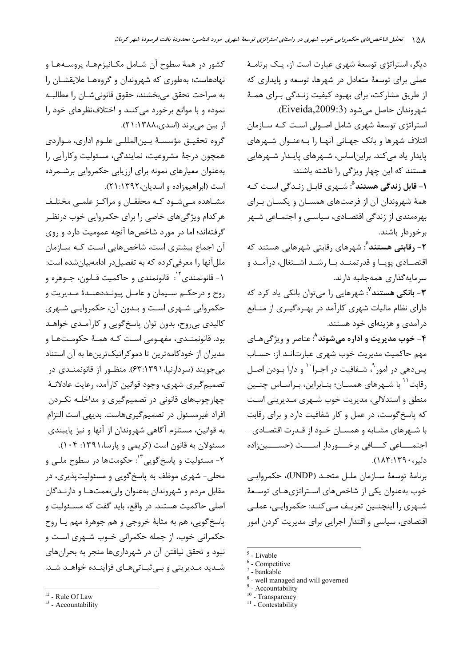دیگر، استراتژی توسعهٔ شهری عبارت است از، یـک برنامـهٔ عملی برای توسعهٔ متعادل در شهرها، توسعه و پایداری که از طریق مشارکت، برای بهبود کیفیت زنـدگی بـرای همـهٔ شهروندان حاصل مي شود (Eiveida,2009:3). استراتژی توسعهٔ شهری شامل اصولی است کـه سـازمان ائتلاف شهرها و بانک جهـانی آنهـا را بـهعنـوان شـهرهای پایدار یاد می کند. براین اساس، شـهرهای پایـدار شـهرهایی هستند که این چهار ویژگی را داشته باشند: **۱- قابل زندگی هستند<sup>۹</sup>:** شــهری قابـل زنـدگی اسـت کـه همهٔ شهروندان آن از فرصتهای همسـان و یکسـان بـرای بهرهمندی از زندگی اقتصادی، سیاسبی و اجتمـاعی شـهر برخوردار باشند. **۲**– **رقابتی هستند** ُ: شهرهای ,قابتی شهرهایی هستند که اقتصـادی پویـا و قدرتمنــد بـا رشــد اشــتغال، درآمــد و سرمايه گذارى همهجانبه دارند. **۳- بانکی هستند<sup>۷</sup>:** شهرهایی را می توان بانکی یاد کرد که دارای نظام مالیات شهری کارآمد در بهرهگیـری از منـابع درآمدی و هزینهای خود هستند. ۴- خوب مديريت و اداره مي شوند^: عناصر و ويژگي هـاي مهم حاکمیت مدیریت خوب شهری عبارتانـد از: حسـاب يس دهي در امور<sup> ۹</sup>، شــفافيت در اجــرا<sup>۰٬</sup> و دارا بــودن اصــل رقابت `` با شـهرهای همسـان؛ بنـابراین، بـراسـاس چنـین

منطق و استدلالی، مدیریت خوب شـهری مـدیریتی اسـت که پاسخ گوست، در عمل و کار شفافیت دارد و برای رقابت با شـهرهای مشـابه و همسـان خـود از قـدرت اقتصـادی— اجتمــــاعي كــــافي برخــــوردار اســــت (حســــين;اده دلير، ١٣٩٠:١٨٣).

برنامة توسعة سـازمان ملـل متحـد (UNDP)، حكمروايـي خوب بهعنوان یکی از شاخصهای استراتژیهای توسعهٔ شبھری را اینچنسین تعریبف مبے کنید: حکمروایبی، عملبی اقتصادی، سیاسی و اقتدار اجرایی برای مدیریت کردن امور

 $11$  - Contestability

كشور در همهٔ سطوح آن شـامل مكـانيزمهـا، پروسـههـا و نهادهاست؛ بهطوری که شهروندان و گروههـا علایقشـان را به صراحت تحقق مىبخشند، حقوق قانونىشـان را مطالبـه نموده و با موانع برخورد می کنند و اختلافنظرهای خود را از بین میبرند (اسدی،۱۳۸۸: ۲۱).

گروه تحقیــق مؤسســهٔ بــین|لمللــی علــوم اداری، مــواردی همچون درجهٔ مشروعیت، نمایندگی، مسئولیت وکارآیی را بهعنوان معيارهاي نمونه براي ارزيابي حكمروايي برشـمرده است (ابراهیمزاده و اسدیان، ۱۳۹۲: ۲۱).

مشاهده مےشود کـه محققـان و مراکـز علمـی مختلـف هر کدام ویژگیهای خاصی را برای حکمروایی خوب درنظـر گرفتهاند؛ اما در مورد شاخصها آنچه عمومیت دارد و روی آن اجماع بیشتری است، شاخص هایی اسـت کـه سـازمان مللآنها را معرفی کرده که به تفصیلدر ادامهبیانشده است: ۱- قانونمندي<sup>۱۲</sup>: قانونمندي و حاكميت قـانون، جــوهره و روح و درحکــم ســيمان و عامــل پيونــددهنــدۀ مــديريت و حکمروایی شـهری اسـت و بـدون آن، حکمروایـی شـهری كالبدي بي روح، بدون توان پاسخ گويي و كارآمـدي خواهـد بود. قانونمنـدي، مفهـومي اسـت كـه همـهٔ حكومـتهـا و مدیران از خودکامهترین تا دموکراتیکترینها به آن استناد می جویند (سردارنیا،۶۳:۱۳۹۱). منظـور از قانونمنـدی در تصمیم گیری شهری، وجود قوانین کارآمد، رعایت عادلانـهٔ چهارچوبهای قانونی در تصمیمگیری و مداخلـه نکـردن افراد غیرمسئول در تصمیم گیریهاست. بدیهی است التزام به قوانين، مستلزم آگاهي شهروندان از آنها و نيز پايبندي مسئولان به قانون است (کریمی و یارسا، ۱۳۹۱: ۱۰۴). ٢- مسئوليت و پاسخ گويي<sup>٣</sup>: حکومتها در سطوح ملـي و محلي- شهري موظف به پاسخ گويې و مسئوليت پذيري، در مقابل مردم و شهروندان بهعنوان ولی نعمتهـا و دارنـدگان اصلي حاكميت هستند. در واقع، بايد گفت كه مسـئوليت و پاسخ گويي، هم به مثابهٔ خروجي و هم جوهرهٔ مهم يـا روح حکمرانی خوب، از جمله حکمرانی خــوب شــهری اسـت و نبود و تحقق نیافتن آن در شهرداریها منجر به بحرانهای شـدید مـدیریتی و بـی ثبـاتی هـای فزاینــده خواهــد شــد.

 $5$  - Livable

 $6$  - Competitive - bankable

<sup>&</sup>lt;sup>8</sup> - well managed and will governed

<sup>&</sup>lt;sup>9</sup> - Accountability

 $10$  - Transparency

<sup>&</sup>lt;sup>12</sup> - Rule Of Law

<sup>&</sup>lt;sup>13</sup> - Accountability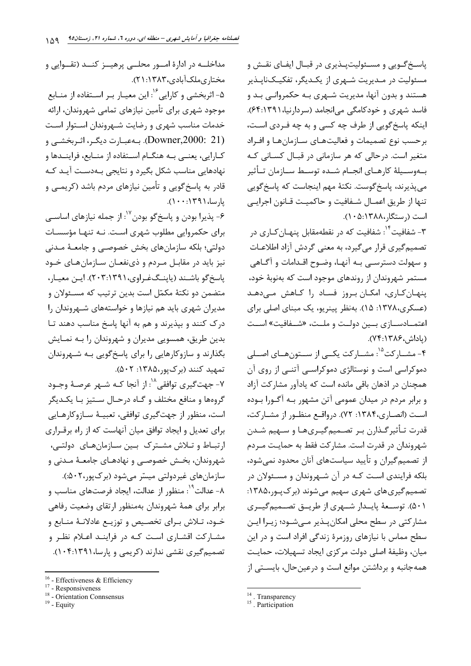مداخلــه در ادارهٔ امــور محلــی پرهیــز کنــد (تقــوایی و مختارىملكآبادى،١٣٨٣:٢١). ۵- اثربخشي و كارايي<sup>۱۶</sup>: اين معيـار بـر اسـتفاده از منـابع موجود شهری برای تأمین نیازهای تمامی شهروندان، ارائه خدمات مناسب شهرى و رضايت شـهروندان اسـتوار اسـت (Downer,2000: 21). بـهعبـارت ديگـر، اثـربخشـي و كـارايي، يعنــي بــه هنگــام اســتفاده از منــابع، فراينــدها و نهادهایی مناسب شکل بگیرد و نتایجی بـهدسـت آیـد کـه قادر به پاسخ گویی و تأمین نیازهای مردم باشد (کریمــی و پارسا، ۱۳۹۱:۰۰۱).

۶- پذیرا بودن و پاسخگو بودن <sup>۱۷</sup>: از جمله نیازهای اساســی برای حکمروایی مطلوب شهری است. نــه تنهـا مؤسسـات دولتي؛ بلكه سازمانهاي بخش خصوصـي و جامعـهٔ مـدني نيز بايد در مقابـل مـردم و ذيiفعـان سـازمانهـاي خـود ياسخ گو باشـند (ياينـگفـراوي،٢٠٣:١٣٩١). ايـن معيـار، متضمن دو نکتهٔ مکمّل است بدین ترتیب که مسـئولان و مدیران شهری باید هم نیازها و خواستههای شـهروندان را درک کنند و بپذیرند و هم به آنها پاسخ مناسب دهند تـا بدين طريق، همسويي مديران و شهروندان را بـه نمـايش بگذارند و سازوکارهایی را برای پاسخگویی بـه شـهروندان تمهید کنند (برک یور،۱۳۸۵: ۵۰۲).

٧- جهت گيري توافقي^`: از آنجا كـه شــهر عرصـهٔ وجــود گروهها و منافع مختلف و گـاه درحـال سـتيز بـا يكـديگر است، منظور از جهت گیری توافقی، تعبیـهٔ سـازوکارهـایی برای تعدیل و ایجاد توافق میان آنهاست که از راه برقـراری ارتباط و تلاش مشـترک بـین سـازمانهـای دولتـی، شهروندان، بخـش خصوصـی و نهادهـای جامعـهٔ مـدنی و سازمان هاي غير دولتي ميسّر مي شود (برك يور،٢٠١٤). ۸- عدالت<sup>۱۹</sup>: منظور از عدالت، ایجاد فرصتهای مناسب و برابر برای همهٔ شهروندان بهمنظور ارتقای وضعیت رفاهی خـود، تـلاش بـراي تخصـيص و توزيـع عادلانـهٔ منـابع و مشـارکت اقشـاری اسـت کـه در فراینـد اعـلام نظـر و تصمیم گیری نقشی ندارند (کریمی و پارسا، ۱۳۹۱:۱۰۴:۱۰۴).

پاسخ گـویی و مسـئولیتپـذیری در قبـال ایفـای نقـش و مسئولیت در مـدیریت شـهری از یکـدیگر، تفکیـکناپـذیر هستند و بدون آنها، مدیریت شـهری بـه حکمروانـی بـد و فاسد شهری و خودکامگی می انجامد (سردارنیا،۶۴:۱۳۹۱). اینکه پاسخ گویی از طرف چه کسی و به چه فـردی اسـت، برحسب نوع تصميمات و فعاليتهـاي سـازمانهـا و افـراد متغیر است. در حالی که هر سازمانی در قبـال کسـانی کـه بــهوســيلهٔ كارهــاي انجــام شــده توســط ســازمان تــأثير می پذیرند، پاسخ گوست. نکتهٔ مهم اینجاست که پاسخ گویی تنها از طريق اعمـال شـفافيت و حاكميـت قـانون اجرايـي است (رستگار،۱۳۸۸:۱۰۵:۱۰).

۳– شفافیت<sup>۰۴</sup>: شفافیت که د<sub>ر</sub> نقطهمقابل پنهـان *ک*ـاری در تصمیم گیری قرار می گیرد، به معنی گردش آزاد اطلاعـات و سهولت دسترسـي بـه آنهـا، وضـوح اقـدامات و آگـاهي مستمر شهروندان از روندهای موجود است که بهنوبهٔ خود، پنهان كارى، امكان بروز فساد را كاهش مىدهد (عسکری،۱۳۷۸: ۱۵). بهنظر پینریو، یک مبنای اصلی برای اعتمــادســازي بــين دولــت و ملــت، «شــفافيت» اســت (باداش،۱۳۸۶:۷۴:۱۳).

۴- مشــار کت<sup>۱۵</sup>: مشــار کت یکــی از ســتون هــای اصــلی دموکراسی است و نوستالژی دموکراسـی آتنـی از روی آن همچنان در اذهان باقی مانده است که یادآور مشارکت آزاد و برابر مردم در میدان عمومی آتن مشهور بـه آگـورا بـوده است (انصاری،۱۳۸۴: ۷۲). درواقع منظـور از مشـاركت، قدرت تـأثیر گـذارن بـر تصـمیمگیـریهـا و سـهیم شـدن شهروندان در قدرت است. مشارکت فقط به حمایـت مـردم از تصمیم گیران و تأیید سیاستهای آنان محدود نمی شود، بلکه فرایندی است کـه در آن شـهروندان و مسـئولان در تصمیم گیریهای شهری سهیم می شوند (بر ک پور،۱۳۸۵: ۵۰۱). توســعهٔ پایــدار شــهری از طریــق تصــمیم گیــری مشارکتی در سطح محلی امکان پـذیر مـیشـود؛ زیـرا ایـن سطح مماس با نیازهای روزمرهٔ زندگی افراد است و در این ميان، وظيفة اصلى دولت مركزي ايجاد تسهيلات، حمايت همهجانبه و برداشتن موانع است و درعین حال، بایستی از

 $16$  - Effectiveness & Efficiency

<sup>&</sup>lt;sup>17</sup> - Responsiveness

<sup>&</sup>lt;sup>18</sup> - Orientation Connsensus

 $19$  - Equity

<sup>&</sup>lt;sup>14</sup>. Transparency

<sup>&</sup>lt;sup>15</sup>. Participation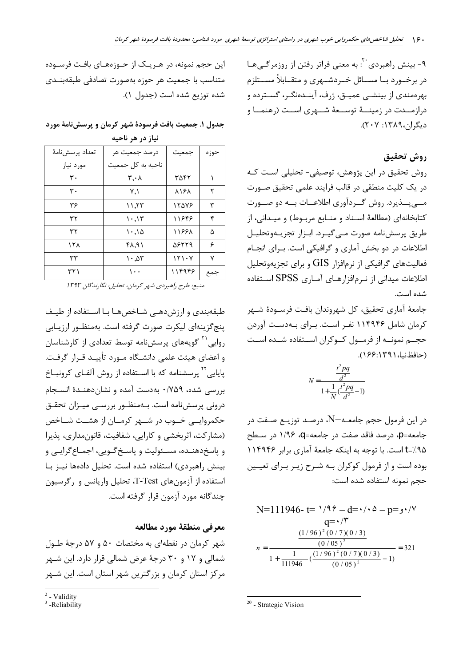۹- بینش راهبردی`` به معنی فراتر رفتن از روزمرگــی هـا در برخــورد بــا مســائل خــردشــهري و متقــابلاً مســتلزم بهرهمندی از بینشــی عمیــق، ژرف، آینــدهنگــر، گســترده و درازمــدت در زمینــهٔ توســعهٔ شــهری اســت (رهنمــا و دیگران،۱۳۸۹: ۲۰۷).

## روش تحقيق

روش تحقیق در این پژوهش، توصیفی- تحلیلی است کـه در یک کلیت منطقی در قالب فرایند علمی تحقیق صـورت مے پــذیرد. روش گــردآوری اطلاعــات بــه دو صــورت كتابخانهاي (مطالعهٔ اسـناد و منـابع مربـوط) و ميـداني، از طريق پرسش نامه صورت مے گيرد. ابـزار تجزيـهوتحليـل اطلاعات در دو بخش آماری و گرافیکی است. بـرای انجـام فعالیتهای گرافیکی از نرمافزار  ${\rm GIS}$  و برای تجزیهوتحلیل اطلاعات میدانی از نـرمافزارهـای آمـاری SPSS اسـتفاده شده است.

جامعهٔ آماری تحقیق، کل شهروندان بافت فرسـودهٔ شـهر کرمان شامل ۱۱۴۹۴۶ نفـر اسـت. بـرای بـهدسـت آوردن حجــم نمونــه از فرمــول كــوكران اســتفاده شــده اســت (حافظنيا،١٣٩١:١٤۶).

$$
N = \frac{\frac{t^2 pq}{d^2}}{1 + \frac{1}{N}(\frac{t^2 pq}{d^2} - 1)}
$$

در این فرمول حجم جامعـه ${\rm N}$  درصـد توزیـع صـفت در جامعه=p، درصد فاقد صفت در جامعه=q، ۱/۹۶ در سطح t=/.۹۵ است. با توجه به اینکه جامعهٔ آماری برابر ۱۱۴۹۴۶ بوده است و از فرمول کوکران بـه شـرح زیـر بـرای تعیـین حجم نمونه استفاده شده است:

N=111946- t= 
$$
1/9
$$
° - d= $\cdot/\frac{0}{\sqrt{7}}$   
\nq= $\frac{1}{9}$ ° $\frac{1}{9}$ ° $\frac{1}{9}$ ° $\frac{1}{9}$ ° $\frac{1}{9}$ ° $\frac{1}{9}$ ° $\frac{1}{9}$ ° $\frac{1}{9}$ ° $\frac{1}{9}$ ° $\frac{1}{1}$ ° $\frac{1}{111946}$ ° $\frac{1}{(1/96)^2(0/7)(0/3)} - 1}{(0/05)^2}$  = 321

 $20$  - Strategic Vision

این حجم نمونه، در هـریـک از حـوزههـای بافـت فرسـوده متناسب با جمعیت هر حوزه بهصورت تصادفی طبقهبنـدی شده توزيع شده است (جدول ١).

جدول ۱. جمعیت بافت فرسودهٔ شهر کرمان و پرسشنامهٔ مورد نياز در هر ناحيه

| تعداد پرسشنامهٔ | در صد جمعیت هر                  | جمعيت       | حوزه |
|-----------------|---------------------------------|-------------|------|
| مورد نياز       | ناحیه به کل جمعیت               |             |      |
| ٣٠              | ۳,۰۸                            | ۳۵۴۲        |      |
| ٣٠              | ۷٫۱                             | <b>A164</b> | ٢    |
| ۳۶              | ۱۱,۲۳                           | 15478       | ٣    |
| ۳۲              | $\cdot$ , $\wedge \tau$         | ۱۱۶۴۶       | ۴    |
| ۳۲              | ۱۰٬۱۵                           | 11888       | ۵    |
| ۱۲۸             | ۴۸٫۹۱                           | 98779       | ۶    |
| ٣٣              | $\mathcal{M} \cdot \mathcal{M}$ | 151.4       | ٧    |
| ۳۲۱             | ۱۰۰                             | ۱۱۴۹۴۶      | جمع  |

منبع: طرح راهبردی شهر کرمان، تحلیل: نگارندگان ۱۳۹۳

طبقهبندی و ارزش دهبی شـاخص هـا بـا اسـتفاده از طیـف ينج گزينهاي ليکرت صورت گرفته است. بهمنظـور ارزيـابي روایی<sup>۲۱</sup> گویههای پرسشنامه توسط تعدادی از کارشناسان و اعضای هیئت علمی دانشـگاه مـورد تأییـد قـرار گرفـت. یایایی<sup>٬۲</sup> پرسشنامه که با اسـتفاده از روش آلفـای کرونبــاخ بررسی شده، ۷۵۹/۰ بهدست آمده و نشان دهنـدهٔ انسـجام درونی پرسشنامه است. بـهمنظـور بررسـی میـزان تحقـق حکمروایــی خــوب در شــهر کرمــان از هشــت شــاخص (مشاركت، اثربخشي و كارايي، شفافيت، قانونمداري، پذيرا و پاسخ دهنـده، مسـئوليت و پاسـخ گـويي، اجمـاع گرايـي و بینش راهبردی) استفاده شده است. تحلیل دادهها نیـز بـا استفاده از آزمون های T-Test، تحلیل واریانس و رگرسیون چندگانه مورد آزمون قرا, گرفته است.

# معرفي منطقة مورد مطالعه

شهر کرمان در نقطهای به مختصات ۵۰ و ۵۷ درجهٔ طـول شمالی و ۱۷ و ۳۰ درجهٔ عرض شمالی قرار دارد. این شـهر مرکز استان کرمان و بزرگترین شهر استان است. این شـهر

 $2$  - Validity

<sup>&</sup>lt;sup>3</sup>-Reliability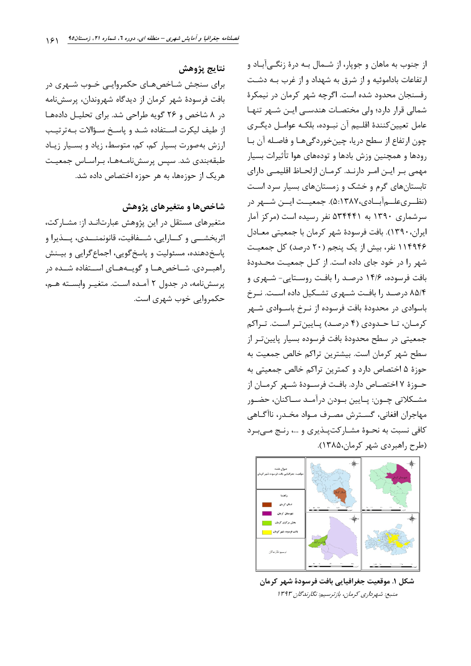نتايج يژوهش برای سنجش شـاخصهـای حکمروایـی خـوب شـهری در بافت فرسودهٔ شهر کرمان از دیدگاه شهروندان، پرسش نامه در ۸ شاخص و ۲۶ گویه طراحی شد. برای تحلیل دادهها از طيف ليكرت استفاده شد و ياسخ سؤالات بـهترتيـب ارزش بهصورت بسیار کم، کم، متوسط، زیاد و بسیار زیاد طبقەبندى شد. سيس پرسشنامـهھـا، بـراسـاس جمعيـت هریک از حوزهها، به هر حوزه اختصاص داده شد.

#### شاخصها و متغیرهای پژوهش

متغیرهای مستقل در این پژوهش عبارتانـد از: مشـارکت، اثربخشـــي و كـــارايي، شــــفافيت، قانونمنــــدي، پــــذيرا و پاسخ دهنده، مسئولیت و پاسخ گویی، اجماع گرایی و بیـنش راهبوردی. شـاخصهـا و گویـههـای اسـتفاده شـده در پرسشنامه، در جدول ٢ آمده است. متغيـر وابسـته هـم، حکمروایی خوب شهری است. از جنوب به ماهان و جوپار، از شـمال بـه درهٔ زنگـی آبـاد و ارتفاعات باداموئیه و از شرق به شهداد و از غرب بـه دشـت رفسنجان محدود شده است. اگرچه شهر کرمان در نیمکرهٔ شمالی قرار دارد؛ ولی مختصات هندسی این شهر تنها عامل تعيين كنندة اقلـيم آن نبــوده، بلكــه عوامــل ديگــرى چون ارتفاع از سطح دريا، چين خوردگي هـا و فاصـله آن بـا رودها و همچنین وزش بادها و تودههای هوا تأثیرات بسیار مهمی بـر ايـن امـر دارنـد. كرمـان ازلحـاظ اقليمـي داراي تابستان های گرم و خشک و زمستان های بسیار سرد است (نظـرىعلــمآبــادى،١٣٨٧ه). جمعيــت ايــن شــهر در سرشماری ۱۳۹۰ به ۵۳۴۴۴۱ نفر رسیده است (مرکز آمار ایران، ۱۳۹۰). بافت فرسودهٔ شهر کرمان با جمعیتی معـادل ۱۱۴۹۴۶ نفر، بیش از یک پنجم (۲۰ درصد) کل جمعیت شهر را در خود جای داده است. از کـل جمعیـت محـدودهٔ بافت فرسوده، ۱۴/۶ درصد را بافت روسـتايي- شـهري و ۸۵/۴ درصد را بافت شهری تشکیل داده است. نـرخ باسوادی در محدودهٔ بافت فرسوده از نـرخ باسـوادی شـهر کرمان، تا حدودی (۴ درصد) پایینتر است. تراکم جمعیتی در سطح محدودهٔ بافت فرسوده بسیار پایینتر از سطح شهر كرمان است. بيشترين تراكم خالص جمعيت به حوزهٔ ۵ اختصاص دارد و کمترین تراکم خالص جمعیتی به حـوزة ٧ اختصــاص دارد. بافــت فرســودة شــهر كرمــان از مشــكلاتي چــون: پــايين بــودن درآمــد ســاكنان، حضــور مهاجران افغاني، گســترش مصـرف مــواد مخـدر، ناآگــاهي كافي نسبت به نحـوۀ مشـاركتيـذيري و ...، رنـج مـيبـرد (طرح راهبردی شهر کرمان،۱۳۸۵).



شكل ١. موقعيت جغرافيايي بافت فرسودة شهر كرمان منېغ: شەردارى كرمان، بازترىسىم: نگارندگان ۱۳۹۳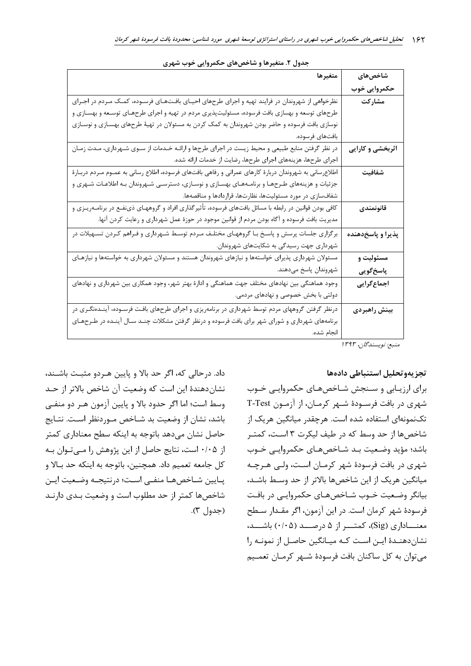| شاخصهای           | متغيرها                                                                                                  |
|-------------------|----------------------------------------------------------------------------------------------------------|
| حكمروايى خوب      |                                                                                                          |
| مشاركت            | نظرخواهی از شهروندان در فرایند تهیه و اجرای طرحهای احیـای بافـتـهـای فرسـوده، کمـک مـردم در اجـرای       |
|                   | طرحهای توسعه و بهسازی بافت فرسوده، مسئولیتپذیری مردم در تهیه و اجرای طرحهـای توسـعه و بهسـازی و          |
|                   | نوسازی بافت فرسوده و حاضر بودن شهروندان به کمک کردن به مسئولان در تهیهٔ طرحهای بهسـازی و نوسـازی         |
|                   | بافتهاى فرسوده.                                                                                          |
| اثربخشی و کارایی  | در نظر گرفتن منابع طبیعی و محیط زیست در اجرای طرحها و ارائـه خـدمات از سـوی شـهرداری، مـدت زمـان         |
|                   | اجرای طرحها، هزینههای اجرای طرحها، رضایت از خدمات ارائه شده.                                             |
| شفافيت            | اطلاعرسانی به شهروندان دربارهٔ کارهای عمرانی و رفاهی بافتهای فرسوده، اطلاع رسانی به عمـوم مـردم دربـارهٔ |
|                   | جزئیات و هزینههای طـرحهـا و برنامـههـای بهسـازی و نوسـازی، دسترسـی شـهروندان بـه اطلاعـات شـهری و        |
|                   | شفافسازی در مورد مسئولیتها، نظارتها، قراردادها و مناقصهها.                                               |
| قانونمندى         | کافی بودن قوانین در رابطه با مسائل بافتهای فرسوده، تأثیرگذاری افراد و گروههـای ذینفـع در برنامــهریـزی و |
|                   | مدیریت بافت فرسوده و آگاه بودن مردم از قوانین موجود در حوزهٔ عمل شهرداری و رعایت کردن آنها.              |
| پذیرا و پاسخدهنده | برگزاری جلسات پرسش و پاسخ بـا گروههـای مختلـف مـردم توسـط شـهرداری و فـراهم کـردن تسـهیلات در            |
|                   | شهرداری جهت رسیدگی به شکایتهای شهروندان.                                                                 |
| مسئوليت و         | مسئولان شهرداری پذیرای خواستهها و نیازهای شهروندان هستند و مسئولان شهرداری به خواستهها و نیازهـای        |
| پاسخگويى          | شهروندان پاسخ مىدهند.                                                                                    |
| اجماعگرایی        | وجود هماهنگی بین نهادهای مختلف جهت هماهنگی و ادارهٔ بهتر شهر، وجود همکاری بین شهرداری و نهادهای          |
|                   | دولتی با بخش خصوصی و نهادهای مردمی.                                                                      |
| بينش راهبردى      | درنظر گرفتن گروههای مردم توسط شهرداری در برنامهریزی و اجرای طرحهای بافت فرسـوده، آینـدهنگـری در          |
|                   | برنامههای شهرداری و شورای شهر برای بافت فرسوده و درنظر گرفتن مشکلات چنـد سـال آینـده در طـرحهـای         |
|                   | انجام شده.                                                                                               |
| ن پاس ۱۳۹۳        |                                                                                                          |

#### جدول ۲. متغیرها و شاخصهای حکمروایی خوب شهری

بع: ىويسندىن، ١٣٦٢

### تجزيهوتحليل استنباطي دادهها

برای ارزیـابی و سـنجش شـاخصهـای حکمروایـی خـوب شهری در بافت فرسـودهٔ شـهر کرمـان، از آزمـون T-Test تکنمونهای استفاده شده است. هرچقدر میانگین هریک از شاخصها از حد وسط که در طیف لیکرت ۳ است، کمتـر باشد؛ مؤید وضعیت بـد شـاخصهـای حکمروایـی خـوب شهری در بافت فرسودهٔ شهر کرمـان اسـت، ولـی هـرچـه میانگین هریک از این شاخصها بالاتر از حد وسط باشـد، بیانگر وضعیت خـوب شـاخصهـای حکمروایـی در بافـت فرسودهٔ شهر کرمان است. در این آزمون، اگر مقـدار سـطح معنـــاداري (Sig)، كمتـــر از ۵ درصـــد (۰/۰۵) باشـــد، نشان دهنـدهٔ ایـن اسـت کـه میـانگین حاصـل از نمونـه ۱٫ می توان به کل ساکنان بافت فرسودهٔ شـهر کرمـان تعمـیم

داد. در حالي كه، اگر حد بالا و پايين هـردو مثبـت باشـند، نشان دهندهٔ این است که وضعیت آن شاخص بالاتر از حـد وسط است؛ اما اگر حدود بالا و پایین آزمون هـر دو منفـی باشد، نشان از وضعیت بد شـاخص مـوردنظر اسـت. نتـایج حاصل نشان میدهد باتوجه به اینکه سطح معناداری کمتر از ۰/۰۵ است، نتایج حاصل از این پژوهش را مبی تـوان بـه كل جامعه تعميم داد. همچنين، باتوجه به اينكه حد بالا و يبايين شباخصهما منفيي اسبت؛ درنتيجيه وضبعيت ايبن شاخصها كمتر از حد مطلوب است و وضعیت بـدی دارنـد (جدول ٣).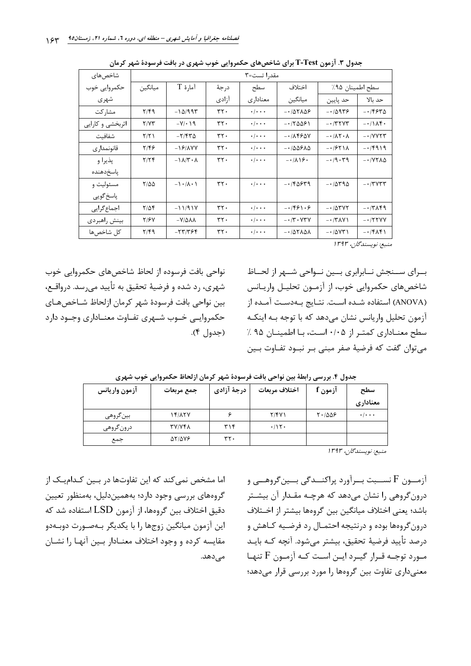| شاخصهای          | مقدرا تست=۳                  |                                |         |                           |                                                               |                                  |                                          |
|------------------|------------------------------|--------------------------------|---------|---------------------------|---------------------------------------------------------------|----------------------------------|------------------------------------------|
| حکمروایی خوب     | ميانگين                      | آمارهٔ T                       | درجة    | سطح                       | اختلاف                                                        | سطح اطمينان ٩۵٪                  |                                          |
| شهري             |                              |                                | آزادى   | معنادار ی                 | ميانگين                                                       | حد پايين                         | حد ىالا                                  |
| مشاركت           | $Y/\mathfrak{f}\mathfrak{q}$ | $-1\Delta/994$                 | ٣٢٠     | $\cdot$ / $\cdot$ $\cdot$ | $-105105$                                                     | $-10988$                         | $-15540$                                 |
| اثربخشي و كارايي | Y/YY                         | $-Y$ / $\cdot$ \ 9             | $rrf$ . | $\cdot/\cdot\cdot\cdot$   | $-170091$                                                     | $- \cdot$ /٣٢٧٣                  | $-11\lambda$ ۴.                          |
| شفافيت           | Y/Y                          | $-7790$                        | $rrf$ . | $\cdot$ / $\cdot$ $\cdot$ | $-1\lambda$ ۴۶۵۷                                              | $-1/\lambda$ $\lambda$ $\lambda$ | $ \cdot$ $/$ $\vee$ $\vee$ $\vee$ $\vee$ |
| قانونمداری       | ۲۱۴۶                         | $-19/AVV$                      | ٣٢٠     | $\cdot$ / $\cdot$ $\cdot$ | $-100510$                                                     | $-1851A$                         | $-14919$                                 |
| پذيرا و          | Y/YF                         | $-1\lambda/\tau \cdot \lambda$ | $rrf$ . | $\cdot$ / $\cdot$ $\cdot$ | $-1/\lambda$ \ $\mathfrak{S}$ .                               | $-19.79$                         | $-1$ $YY\Lambda\Delta$                   |
| ياسخدهنده        |                              |                                |         |                           |                                                               |                                  |                                          |
| مسئوليت و        | $Y/\Delta\Delta$             | $-1.7$                         | ٣٢٠     | $\cdot/\cdot\cdot\cdot$   | $-150579$                                                     | $-10490$                         | $- \cdot 7447$                           |
| پاسخ گويي        |                              |                                |         |                           |                                                               |                                  |                                          |
| اجماع گرايي      | $Y/\Delta f$                 | $-11/91V$                      | rr.     | $\cdot$ / $\cdot$ $\cdot$ | $-1591.8$                                                     | $-10000$                         | $-17\lambda$ ۴۹                          |
| بينش راهبردي     | Y/Y                          | $-V/\Delta\lambda\lambda$      | ٣٢٠     | $\cdot$ / $\cdot$ $\cdot$ | $- \cdot / \mathbf{r} \cdot \mathbf{V} \mathbf{r} \mathbf{V}$ | $- \cdot$ /۳۸۷۱                  | $-1777VV$                                |
| كل شاخصها        | $Y/\mathfrak{f}\mathfrak{q}$ | $-77/796$                      | ٣٢٠     | $\cdot/\cdot\cdot\cdot$   | $-105104$                                                     | $-10YT$                          | $-15\pi$                                 |

جدول ۳. آزمون T-Test برای شاخصهای حکمروایی خوب شهری در بافت فرسودهٔ شهر کرمان

منېع: نويسندگان، ۱۳۹۳

بــراي ســنجش نــابرابري بــين نــواحي شــهر از لحــاظ شاخصهای حکمروایی خوب، از آزمـون تحلیـل واریـانس (ANOVA) استفاده شده است. نتـايج بـهدسـت آمـده از آزمون تحلیل واریانس نشان مے دھد که با توجه بـه اینکـه سطح معنـاداری کمتـر از ۰/۰۵ اسـت، بـا اطمينـان ۹۵٪ میتوان گفت که فرضیهٔ صفر مبنی بـر نبـود تفـاوت بـین

نواحی بافت فرسوده از لحاظ شاخصهای حکمروایی خوب شهري، رد شده و فرضيهٔ تحقيق به تأييد مي سد. درواقـع، بين نواحي بافت فرسودة شهر كرمان ازلحاظ شـاخصهـاي حکمروایے خــوب شــهری تفــاوت معنــاداری وجــود دارد (جدول ۴).

| آزمون واريانس | جمع مربعات          | درجهٔ آزادی | اختلاف مربعات | آزمون f    | سطح                 |
|---------------|---------------------|-------------|---------------|------------|---------------------|
|               |                     |             |               |            | معنادارى            |
| بين گروهي     | 14/177              |             | Y/YY          | $T - 1005$ | $\cdot$ / $\cdot$ . |
| درونگروهي     | <b>TY/VFA</b>       | ۳۱۴         | .115.         |            |                     |
| جمع           | $\Delta Y/\Delta Y$ | ٣٢.         |               |            |                     |

جدول ۴. بررسی رابطة بین نواحی بافت فرسودهٔ شهر کرمان ازلحاظ حکمروایی خوب شهری

منېع: نويسندگان، ۱۳۹۳

آزمــون F نســبت بــرآورد پراکنــدگی بــینگروهــی و درون گروهی را نشان میدهد که هرچـه مقـدار آن بیشـتر باشد؛ يعني اختلاف ميانگين بين گروهها بيشتر از اخـتلاف درون گروهها بوده و درنتیجه احتمـال رد فرضـیه کـاهش و درصد تأييد فرضيهٔ تحقيق، بيشتر ميشود. آنچه كـه بايـد مورد توجـه قـرار گیـرد ایـن اسـت کـه آزمـون F تنهـا معنیداری تفاوت بین گروهها را مورد بررسی قرار میدهد؛

اما مشخص نمی کند که این تفاوتها در بـین کـدامیـک از گروههای بررسی وجود دارد؛ بههمیندلیل، بهمنظور تعیین دقيق اختلاف بين گروهها، از آزمون LSD استفاده شد كه این آزمون میانگین زوجها را با یکدیگر بـهصـورت دوبـهدو مقايسه كرده و وجود اختلاف معنـادار بـين آنهـا را نشـان مىدھد.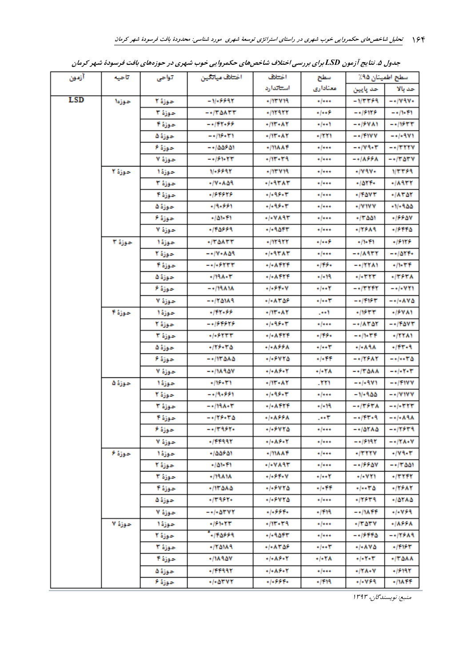| آزمون      | آناحيه | تواحى    | اختلاف مياتكين         | اختلاف                   | سطح اطمينان ٩٥٪<br>سطح |                         |                                  |
|------------|--------|----------|------------------------|--------------------------|------------------------|-------------------------|----------------------------------|
|            |        |          |                        | استتاتدارد               | معتادارى               | حد پایین                | حد بالا                          |
| <b>LSD</b> | حوزها  | حوزة الا | $-1/+9.9917$           | $+111.411$               | معماره                 | -1/3359                 | $-+/\sqrt{3}$                    |
|            |        | حوزة ٣   | $-$ +/۳۵۸۳۳            | +11222                   | ۱۰۰۰۶                  | -+16926                 | $-1/1.11$                        |
|            |        |          | -+199-88               | $+/11 - A1$              | 1++1+                  | -+15881                 | $- + 11544$                      |
|            |        | حوزة ۵   | $-115.171$             | $+/11 + A1$              | $+1111$                | -+/1177                 | $-1/13V1$                        |
|            |        | حوزة ۶   | -+100801               | +/ነነለ ለተ                 | $+1$                   | -+179+3                 | $ +$ $/$ $+$ $+$ $+$ $+$ $+$ $+$ |
|            |        | حوزة ٧   | -+159+47               | -115-59                  | ۱۶۰۰۰                  | ー・バステテル                 | $-11.04.4$                       |
|            | حوزة ا | حوزة ١   | 11-5598                | $+111.11$                | $+1***$                | +1797+                  | 1/2259                           |
|            |        | حوزة ٣   | -17-853                | +1+93°*3°                | $-1$                   | ۱۵۲۱۰                   | $+11355$                         |
|            |        |          | -189898                | $+1 - 15 - 17$           | معماره                 | $+11001$                | ۰/۸۳۵۴                           |
|            |        | حوزة ۵   | +19+559                | -1-95-4                  | معماره                 | +/7177                  | -11-955                          |
|            |        | حوزة ۶   | -101-11                | +1+YA93°                 | معماره                 | ۵۵۱ - ۱۳                | +1998V                           |
|            |        | حوزة ٧   | -198889                | $+1 - 30 + 7$            | ****                   | -11589                  | $+15550$                         |
|            | حوزة ٣ | حوزة ١   | ۰/۳۵۸۳۳                | $+111111$                | +1++5                  | $+11 - 11$              | +19489                           |
|            |        | حوزة ا   | $-10.14$               | $+1 - 317$ $\lambda$ $T$ | معماره                 | $- +10977$              | $- + 1011 +$                     |
|            |        | حوزة ۴   | $- +$ /+ 5 $+$ $+$ $+$ | +/+ATYT                  | $+15+$                 | -+/1781                 | $+11 - 171$                      |
|            |        | حوزة ۵   | $+111A+1$              | $+1 - A + Y +$           | -1-19                  | ۰/۰۳۲۳                  | $+1555A$                         |
|            |        | حوزة ۶   | -+/19818               | +1+59+V                  | $+1$                   | -+/۳۲۴۲                 | -+/+777                          |
|            |        | حوزة ٧   | $-110111$              | -1-8508                  | $+1$ + + $1^{\circ}$   | -+/۳۱۶۳                 | $- + (-\lambda V \Delta$         |
|            | حوزة ا |          | -198055                | +/11 + A 1               | 100.                   | -11844                  | +15VA1                           |
|            |        | حوزة ا   | -+164646               | $+1 - 15 - 17$           | ۱۶۰۰۰                  | $-+/\lambda T \Delta Y$ | $-$ +/1 AV T                     |
|            |        | حوزة ٣   | +1+6444                | +1+8999                  | $-15.5 +$              | ー・ハ・ザド                  | ۰/۲۲۸۱                           |
|            |        | حوزة ۵   | $-115 - 10$            | ・ト・ステテス                  | 7+۰۱۰                  | ۸۱۸-۱۰                  | $+111.1$                         |
|            |        | حوزة ۶   | $-1110000$             | +1+6778                  | +1+11                  | ー・バンスヤ                  | $- + (- + 7)$                    |
|            |        | حوزة ٧   | $- +11A 1AY$           | $-1 - A > -1$            | ۰/۰۲۸                  | $-1170AA$               | $- + (-1) + T$                   |
|            | حوزة ۵ | حوزة ا   | $-115 - 171$           | +/11"+ A Y               | -111                   | -+1+9.V9                | $-$ +/ $+$ 1 $V$ $V$             |
|            |        | حوزة ٢   | -+19+۶۶1               | -1-95-5                  | معماره                 | -11+955                 | $-$ +/V 1V V                     |
|            |        | حوزة ٣   | -+198004               | $+1 - 1111 +$            | -1-11                  | $-11554A$               | $- + (-111)$                     |
|            |        | حوزة ۴   | ー・パン・ピロ                | ・1・ステテス                  | $-1$                   | $-111 - 9$              | $- + (-\lambda + \lambda)$       |
|            |        | حوزة ۶   | -+/۳۹۶۲+               | ۰/۰۶۷۲۵                  | */***                  | ۸۸ ۱۵۲ -                | -+19649                          |
|            |        | حوزة ٧   | +14494                 | +1+8.5+Y                 | $+1$                   | -+16993                 | $- + / Y \Lambda + V$            |
|            | حوزة ۶ | حوزة ١   | ۱۵۵۶ - ۱۵۵۶            | +/ነነሌልነ                  | ۱۰/۰۰۰                 | +/TTTV                  | $-11 - 1$                        |
|            |        | حوزة ا   | -101-11                | +1+7893                  | */***                  | -+15587                 | -+/۳۵۵۱                          |
|            |        | حوزة ٣   | $+111111$              | +1+>1+V                  | +/++Y                  | ۰/۰۷۱۱                  | -17777                           |
|            |        | حوزة ۴   | ۰/۱۳۵۸۵                | -1-5478                  | +/+11                  | 5/00 - 1                | ۰/۱۶۸۲                           |
|            |        | حوزة ۵   | -1395-                 | -1-5445                  | جمعاره                 | -17579                  | ۰/۵۲۸۵                           |
|            |        | حوزة ٧   | -+/+ATVY               | .1.559.                  | -1999                  | $- + / 14.77$           | +1+VS9                           |
|            | حوزة ٧ | حوزة ا   | +153+44"               | -115-59                  | $-1$                   | -/TATY                  | ・ハンテル                            |
|            |        | حوزة ٢   | $-110559$              | -1-9517                  | ۱۰/۰۰۰                 | - - 16446               | ー・バンスタ                           |
|            |        | حوزة ٢   | -/የልነአቤ                | •/•ለፕልን                  | +/++Y                  | ه۷۵×۱۰                  | -1995                            |
|            |        | حوزة ا   | ۰/۱۸۹۵۷                | +1+AF+1                  | +1+YA                  | +1+Y+Y                  | ۸۸۵-۱۳                           |
|            |        | حوزة ۵   | +/FF99Y                | +1+8.5+Y                 | $-1$                   | ۰/۲۸۰۷                  | -15199                           |
|            |        | حوزة ۶   | +/+ATVY                | -1-551+                  | -1111                  | -1-759                  | +/1411                           |

جدول ۵. نتایج آزمون LSD برای بررسی اختلاف شاخصهای حکمروایی خوب شهری در حوزههای بافت فرسودهٔ شهر کرمان

منبع: نویسندگان، ۱۳۹۳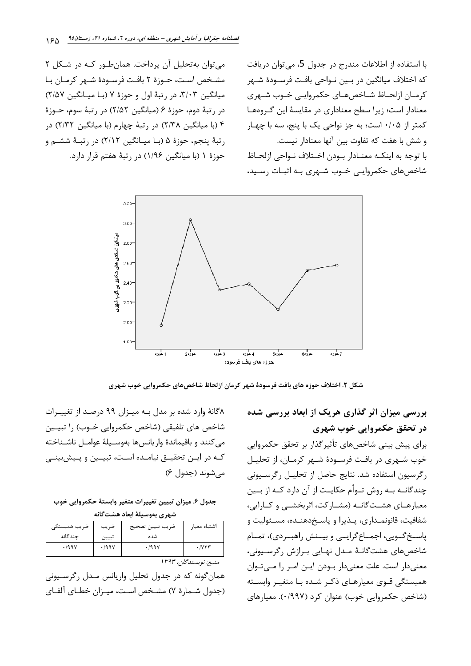می توان به تحلیل آن پرداخت. همان طـور کـه در شـکل ۲ مشخص است، حـوزهٔ ۲ بافـت فرسـودهٔ شـهر کرمـان بـا میانگین ۳/۰۳، در رتبهٔ اول و حوزهٔ ۷ (با میانگین ۲/۵۷) در رتبهٔ دوم، حوزهٔ ۶ (میانگین ۲/۵۲) در رتبهٔ سوم، حــوزهٔ ۴ (با میانگین ۲/۳۸) در رتبهٔ چهارم (با میانگین ۲/۳۲) در رتبهٔ پنجم، حوزهٔ ۵ (بـا میـانگین ۲/۱۲) در رتبـهٔ ششـم و حوزهٔ ۱ (با میانگین ۱/۹۶) در رتبهٔ هفتم قرار دارد.

با استفاده از اطلاعات مندرج در جدول 5، می توان دریافت كه اختلاف ميانگين در بـين نــواحي بافـت فرســودهٔ شــهر كرمـان ازلحـاظ شـاخصهـاي حكمروايـي خـوب شـهري معنادار است؛ زیرا سطح معناداری در مقایسهٔ این گروهها کمتر از ۰/۰۵ است؛ به جز نواحی یک با پنج، سه با چهار و شش با هفت كه تفاوت بين آنها معنادار نيست. با توجه به اینکـه معنــادار بــودن اخــتلاف نــواحی ازلحــاظ شاخصهای حکمروایے خوب شـهری بـه اثبـات رسـید،



شکل ۲. اختلاف حوزه های بافت فرسودهٔ شهر کرمان ازلحاظ شاخصهای حکمروایی خوب شهری

بررسی میزان اثر گذاری هریک از ابعاد بررسی شده در تحقق حکمروایی خوب شهری

برای پیش بینی شاخصهای تأثیرگذار بر تحقق حکمروایی خوب شـهري در بافـت فرسـودهٔ شـهر كرمـان، از تحليـل رگرسیون استفاده شد. نتایج حاصل از تحلیـل رگرسـیونی چندگانــه بــه روش تــوأم حكايــت از آن دارد كــه از بــين معیارهـای هشـتگانـه (مشـارکت، اثربخشـی و کـارایی، شفافيت، قانونمـداري، پـذيرا و پاسـخ٥هنـده، مسـئوليت و پاسـخ گــويي، اجمــاع گرايــي و بيــنش راهبــردي)، تمــام شاخصهای هشتگانـهٔ مـدل نهـایی بـرازش رگرسـیونی، معنیدار است. علت معنیدار بودن ایـن امـر را مـی تـوان همبستگی قـوی معیارهـای ذکـر شـده بـا متغيـر وابسـته (شاخص حکمروایی خوب) عنوان کرد (۰/۹۹۷). معیارهای

۸گانهٔ وارد شده بر مدل بـه میـزان ۹۹ درصـد از تغییـرات شاخص هاي تلفيقي (شاخص حكمروايي خــوب) را تبيــين می كنند و باقیماندهٔ واریانسها بهوسـیلهٔ عوامـل ناشـناخته كـه در ايــن تحقيــق نيامــده اسـت، تبيــين و يــيش بينــي مے شوند (جدول ۶)

جدول ۶. ميزان تبيين تغييرات متغير وابستهٔ حکمروايي خوب شهرى بهوسيلة ابعاد هشتگانه

| ضريب همبستگي | ضريب  | ضريب تبيين تصحيح | اشتباه معيار          |
|--------------|-------|------------------|-----------------------|
| چندگانه      | تبيين | شده              |                       |
| .799V        | .799V | .199V            | ۰/۷۲۳                 |
|              |       |                  | منېغ: نويسندگان، ۱۳۹۳ |

همان گونه که در جدول تحلیل واریانس مـدل رگرسـیونی

(جدول شـمارهٔ ۷) مشـخص اسـت، میـزان خطـای آلفـای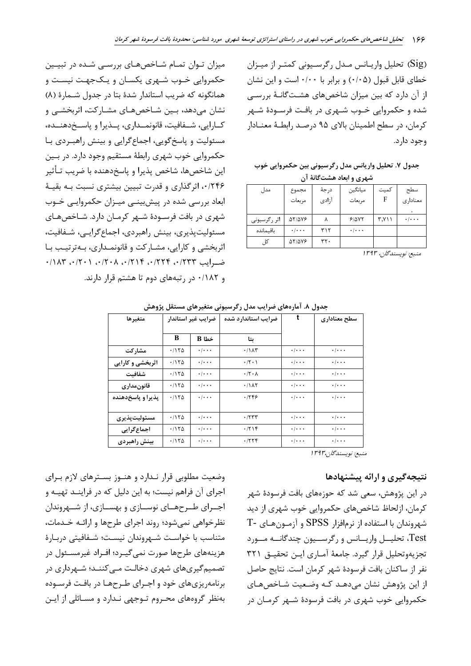(Sig) تحلیل واریـانس مـدل رگرسـیونی کمتـر از میـزان خطای قابل قبول (۰/۰۵) و برابر با ۰/۰۰ است و این نشان از آن دارد که بین میزان شاخصهای هشتگانـهٔ بررسـی شده و حکمروایی خــوب شــهری در بافـت فرســودهٔ شــهر كرمان، در سطح اطمينان بالاي ۹۵ درصد رابطـهٔ معنـادار وجود دارد.

جدول ٧. تحليل واريانس مدل رگرسيوني بين حكمروايي خوب شهری و ابعاد هشتگانهٔ آن

| $\cdots$<br>----<br>سمری رب |                           |        |                           |        |                           |  |  |  |
|-----------------------------|---------------------------|--------|---------------------------|--------|---------------------------|--|--|--|
| مدل                         | مجموع                     | در جهٔ | ميانگين                   | كميت   | سطح                       |  |  |  |
|                             | مر بعات                   | آزادى  | مربعات                    | F      | معنادارى                  |  |  |  |
|                             |                           |        |                           |        |                           |  |  |  |
| اثر رگرسیونی                | <b>AT/AVE</b>             |        | 9/0YY                     | ۰۷۱۱,۳ | $\cdot$ / $\cdot$ $\cdot$ |  |  |  |
| باقيمانده                   | $\cdot$ / $\cdot$ $\cdot$ | ۳۱۲    | $\cdot$ / $\cdot$ $\cdot$ |        |                           |  |  |  |
|                             | <b>AT/AVE</b>             | ۳۲۰    |                           |        |                           |  |  |  |

منبع: نویسندگان، ۱۳۹۳

میزان تـوان تمـام شـاخصهـای بررسـی شـده در تبیـین حکمروایی خـوب شـهری یکسـان و یـکجهـت نیسـت و همانگونه كه ضريب استاندار شدة بتا در جدول شـمارة (٨) نشان میدهد، بـین شـاخصهـای مشـارکت، اثربخشـی و كـارايي، شــفافيت، قانونمــداري، پــذيرا و پاســخ‹هنــده، مسئولیت و پاسخ گویی، اجماع گرایی و بینش راهب دی با حکمروایی خوب شهری رابطهٔ مستقیم وجود دارد. در بـین این شاخصها، شاخص پذیرا و پاسخدهنده با ضریب تـأثیر ۰/۲۴۶ اثر گذاری و قدرت تبیین بیشتری نسبت بـه بقیـهٔ ابعاد بررسی شده در پیشبینی میهزان حکمروایی خوب شهری در بافت فرسـودهٔ شـهر کرمـان دارد. شـاخصهـای مسئولیت پذیری، بینش راهبردی، اجماع گرایے، شـفافیت، اثربخشي و کارايي، مشـارکت و قانونمـداري، بـهترتيـب بـا ضرايب ١٢٣٣، ١٢٢٤، ١٢٧٩، ١٨٣، ٢٠١، ١٨٣، ١٨٣، و ۰/۱۸۲ در رتبههای دوم تا هشتم قرار دارند.

| متغيرها           | ضرايب غير استاندار |                           | ضرايب استاندارد شده         | t                         | سطح معنادارى              |
|-------------------|--------------------|---------------------------|-----------------------------|---------------------------|---------------------------|
|                   | B                  | خطا B                     | ىتا                         |                           |                           |
| مشاركت            | .1170              | $\cdot$ / $\cdot$ $\cdot$ | .71AT                       | $\cdot$ / $\cdot$ $\cdot$ | $\cdot$ / $\cdot$ $\cdot$ |
| اثربخشی و کارایی  | .1170              | $\cdot$ / $\cdot$ $\cdot$ | $\cdot$ /٢ $\cdot$ )        | $\cdot$ / $\cdot$ $\cdot$ | $\cdot$ / $\cdot$ $\cdot$ |
| شفافيت            | .1170              | $\cdot$ / $\cdot$ $\cdot$ | $\cdot$ /۲ $\cdot$ $\wedge$ | $\cdot$ / $\cdot$ $\cdot$ | $\cdot$ / $\cdot$ $\cdot$ |
| قانونمداري        | .1170              | $\cdot$ / $\cdot$ $\cdot$ | .71AT                       | $\cdot$ / $\cdot$ $\cdot$ | $\cdot$ / $\cdot$ $\cdot$ |
| پذیرا و پاسخدهنده | .1170              | $\cdot$ / $\cdot$ $\cdot$ | .1799                       | $\cdot$ / $\cdot$ $\cdot$ | $\cdot$ / $\cdot$ $\cdot$ |
| مسئوليتيذيري      | .1170              | $\cdot$ / $\cdot$ .       | .757                        | $\cdot$ / $\cdot$ $\cdot$ | $\cdot/\cdot\cdot\cdot$   |
| اجماع گرایی       | .1170              | $\cdot$ / $\cdot$ $\cdot$ | .719                        | $\cdot$ / $\cdot$ $\cdot$ | $\cdot$ / $\cdot$ $\cdot$ |
| بينش راهبردى      | .1170              | $\cdot$ / $\cdot$ $\cdot$ | .7779                       | $\cdot$ / $\cdot$ $\cdot$ | $\cdot$ / $\cdot$ $\cdot$ |

جدول ۸. آمارههای ضرایب مدل رگرسیونی متغیرهای مستقل پژوهش

منبع: نويسندگان،۱۳۹۳

## نتیجهگیری و ارائه پیشنهادها

در این پژوهش، سعی شد که حوزههای بافت فرسودهٔ شهر کرمان، ازلحاظ شاخصهای حکمروایی خوب شهری از دید  $T$ - شهروندان با استفاده از نرمافزار SPSS و آزمـون هـای .<br>Test، تحلیــل واریــانس و رگرســیون چندگانــه مــورد تجزيهوتحليل قرار گيرد. جامعهٔ آمـاري ايـن تحقيـق ٣٢١ نفر از ساكنان بافت فرسودهٔ شهر كرمان است. نتایج حاصل از این پژوهش نشان میدهـد کـه وضـعیت شـاخصهـای حکمروایی خوب شهری در بافت فرسودهٔ شـهر کرمـان در

وضعیت مطلوبی قرار نـدارد و هنــوز بســترهای لازم بـرای اجرای آن فراهم نیست؛ به این دلیل که در فراینـد تهیـه و اجــرای طــرحهــای نوســازی و بهســازی، از شــهروندان نظرخواهی نمی شود؛ روند اجرای طرحها و ارائـه خـدمات، متناسب با خواسـت شـهروندان نيسـت؛ شـفافيتي دربـارهٔ هزینههای طرحها صورت نمی گیـرد؛ افـراد غیرمسـئول در تصمیم گیریهای شهری دخالت مــی کننــد؛ شــهرداری در برنامهریزیهای خود و اجـرای طـرحهـا در بافـت فرسـوده بهنظر گروههای محـروم تـوجهی نـدارد و مسـائلی از ایـن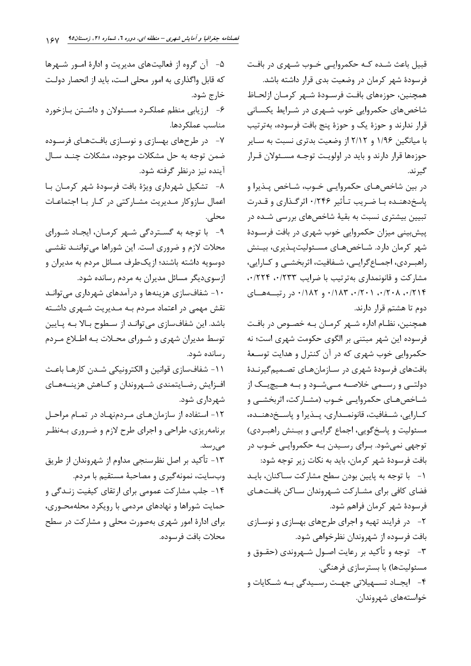قبیل باعث شـده کـه حکمروایـی خـوب شـهری در بافـت فرسودهٔ شهر کرمان در وضعیت بدی قرار داشته باشد. همچنین، حوزههای بافت فرسـودهٔ شـهر کرمـان ازلحـاظ شاخصهای حکمروایی خوب شـهری در شـرایط یکسـانی قرار ندارند و حوزهٔ یک و حوزهٔ پنج بافت فرسوده، بهترتیب با میانگین ۱/۹۶ و ۲/۱۲ از وضعیت بدتری نسبت به سـایر حوزهها قرار دارند و بايد در اولويـت توجـه مسـئولان قـرار گیر ند.

در بین شاخصهبای حکمروایے خبوب، شباخص پیذیرا و یاسخدهنده بـا ضـریب تـأثیر ۰/۲۴۶ اثرگـذاری و قـدرت تبیین بیشتری نسبت به بقیهٔ شاخصهای بررسی شـده در ییش بینی میزان حکمروایی خوب شهری در بافت فرســودهٔ شهر کرمان دارد. شـاخصهـای مسـئولیتیـذیری، بیـنش راهب ردی، اجمـاع گرايــي، شــفافيت، اثربخشــي و كــارايي، مشارکت و قانونمداری بهترتیب با ضرایب ۰٬۲۳۳ .۰/۲۳۴ ۰/۲۱۴ . ۰/۲۰۸ . ۰/۲۰۱ . ۰/۱۸۳ و ۰/۱۸۲ در رتبههای دوم تا هشتم قرار دارند.

همچنین، نظـام اداره شـهر کرمـان بـه خصـوص در بافـت فرسوده این شهر مبتنی بر الگوی حکومت شهری است؛ نه حکمروایی خوب شهری که در آن کنترل و هدایت توسـعهٔ .<br>بافتهای فرسودهٔ شهری در سـازمانهـای تصـمیمگیرنـدهٔ دولتــی و رســمی خلاصــه مــی شــود و بــه هــیچیــک از شـاخصهـای حکمروایـی خـوب (مشـارکت، اثربخشـی و كارايي، شــفافيت، قانونمــداري، پــذيرا و پاســخدهنــده، مسئولیت و پاسخگویی، اجماع گرایـی و بیـنش راهبـردی) توجهي نمي شود. بـراي رسـيدن بـه حكمروايـي خـوب در بافت فرسودهٔ شهر کرمان، باید به نکات زیر توجه شود: ١- با توجه به پایین بودن سطح مشارکت سـاکنان، بایـد فضای کافی برای مشـارکت شـهروندان سـاکن بافـتهـای فرسودهٔ شهر کرمان فراهم شود. ۲- در فرایند تهیه و اجرای طرحهای بهسازی و نوسازی بافت فرسوده از شهروندان نظرخواهی شود. ۳- توجه و تأکید بر رعایت اصـول شـهروندی (حقـوق و مسئولیتها) با بسترسازی فرهنگی. ۴- ایجــاد تســهیلاتی جهــت رســیدگی بــه شــکایات و خواستههای شهروندان.

۵– آن گروه از فعالیتهای مدیریت و ادارهٔ امــور شــهرها که قابل واگذاری به امور محلی است، باید از انحصار دولت خارج شود. ۶- ارزیابی منظم عملکرد مسئولان و داشتن بازخورد مناسب عملكردها. ۷- در طرحهای بهسازی و نوسـازی بافـتهـای فرسـوده ضمن توجه به حل مشکلات موجود، مشکلات چنـد سـال آينده نيز درنظر گرفته شود. ٨- تشكيل شهرداري ويژة بافت فرسودة شهر كرمـان بـا اعمال سازوکار مـدیریت مشـارکتی در کـار بـا اجتماعـات محلي. ۹- با توجه به گستردگی شـهر کرمـان، ایجـاد شـورای محلات لازم و ضروری است. این شوراها می تواننـد نقشـی دوسویه داشته باشند؛ ازیکطرف مسائل مردم به مدیران و ازسوی دیگر مسائل مدیران به مردم رسانده شود. ۱۰- شفافسازی هزینهها و درآمدهای شهرداری می توانـد نقش مهمی در اعتماد مـردم بـه مـدیریت شـهری داشـته باشد. این شفافسازی می توانـد از سـطوح بـالا بـه پـایین توسط مدیران شهری و شـورای محـلات بـه اطـلاع مـردم رسانده شود. ١١- شفافسازي قوانين و الكترونيكي شـدن كارهـا باعـث افـزايش رضـايتمندي شـهروندان و كــاهش هزينــههـاي شهرداری شود. ۱۲- استفاده از سازمان هـای مـردمنهـاد در تمـام مراحـل برنامه٫یزی، طراحی و اجرای طرح لازم و ضـروری بــهنظـر مىرسد. ١٣- تأكيد بر اصل نظرسنجي مداوم از شهروندان از طريق وبسایت، نمونهگیری و مصاحبهٔ مستقیم با مردم. ۱۴- جلب مشارکت عمومی برای ارتقای کیفیت زنـدگی و حمایت شوراها و نهادهای مردمی با رویکرد محلهمحـوری، برای ادارهٔ امور شهری بهصورت محلی و مشارکت در سطح محلات بافت فرسوده.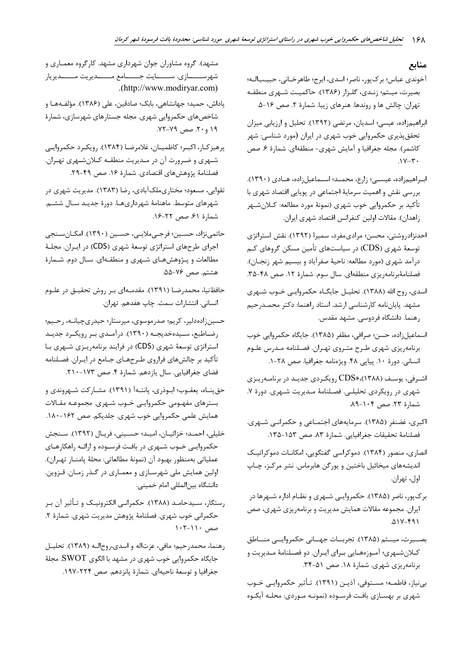#### منابع

- آخوندي عباس؛ بركپور، ناصر؛ اسدي، ايرج؛ طاهرخـاني، حبيـبالـه؛ بصیرت، میـثم؛ زنـدي، گلـزار (۱۳۸۶). حاكميـت شـهري منطقـه تهران: چالش ها و روندها. هنرهای زیبا. شمارهٔ ۲. صص ۱۶-۵.
- ابراهیمزاده، عیسی؛ اسدیان، مرتضی (۱۳۹۲). تحلیل و ارزیابی میزان تحقق پذیری حکمروایی خوب شهری در ایران (مورد شناسی: شهر كاشمر). مجله جغرافيا و أمايش شهري- منطقهاي. شمارة ۶. صص
- ابـراهيمزاده، عيســي؛ زارع، محمــد؛ اســماعيلزاده، هــادي (١٣٩٠). بررسی نقش و اهمیت سرمایهٔ اجتماعی در پویایی اقتصاد شهری با تأكيد بر حكمروايي خوب شهري (نمونهٔ مورد مطالعه: كـلانشـهر زاهدان). مقالات اولين كنفرانس اقتصاد شهري ايران.
- احدنژادروشتی، محسن؛ مرادی،مفرد، سمیرا (۱۳۹۲). نقش استراتژی توسعهٔ شهری (CDS) در سیاستهای تأمین مسکن گروهای کـم درآمد شهري (مورد مطالعه: ناحيهٔ صفراًباد و بيسيم شهر زنجـان). فصلنامهٔبرنامهریزی منطقهای. سال سوم. شمارهٔ ۱۲. صص ۴۸-۳۵.
- اسدی، روح الله (۱۳۸۸). تحلیـل جایگــاه حکمروایــی خــوب شــهری مشهد. پایاننامه کارشناسی ارشد. استاد راهنما: دکتر محمـدرحیم رهنما. دانشگاه فردوسی. مشهد مقدس.
- اسماعیلزاده، حسن؛ صرافی، مظفر (۱۳۸۵). جایگاه حکمروایی خوب برنامهريزي شهري طـرح متـروي تهـران. فصـلنامه مـدرس علـوم انساني. دورة ١٠. پياپي ۴٨. ويژهنامه جغرافيا. صص ٢٨-١.
- اشرفی، یوسف (۱۳۸۸)،«CDS رویکردی جدیـد در برنامـهریـزی شهری در رویکردی تحلیلی. فصلنامهٔ مـدیریت شـهری. دورهٔ ۷. شمارهٔ ۲۳. صص ۱۰۴-۸۹.
- اکبری، غضنفر (۱۳۸۵). سرمایههای اجتمـاعی و حکمرانـی شـهری. فصلنامة تحقيقات جغرافيايي. شمارة ٨٣. صص ١٥٣-١٣٥.
- انصاری، منصور (۱۳۸۴). دموکراسی گفتگویی، امکانـات دموکراتیـک اندیشههای میخائیل باختین و یورگن هابرماس. نشر مرکـز، چـاپ اول، تهران.
- برکپور، ناصر (۱۳۸۵). حکمروایی شـهری و نظـام اداره شـهرها در ایران. مجموعه مقالات همایش مدیریت و برنامهریزی شهری، صص  $01Y - 91$
- بصـيرت، ميـثم (١٣٨۵). تجربــات جهــاني حكمروايــي منــاطق كـلانشـهري؛ أمـوزههـايي بـراي ايـران. دو فصـلنامهٔ مـديريت و برنامهریزی شهری. شمارهٔ ۱۸. صص ۵۱-۳۴.
- بي نياز، فاطمـه؛ مسـتوفى، آذيـن (١٣٩١). تـأثير حكمروايـي خـوب شهری بر بهسـازی بافـت فرسـوده (نمونـه مـوردی: محلـه آبكـوه

مشهد). گروه مشاوران جوان شهرداری مشهد. کارگروه معمـاری و شهرســــــازي. ســـــــايت جــــــامع مـــــــديريت مــــــديريار .(http://www.modiryar.com)

- پاداش، حمید؛ جهانشاهی، بابک؛ صادقین، علی (۱۳۸۶). مؤلف4هـا و شاخصهای حکمروایی شهری. مجله جستارهای شهرسازی، شمارهٔ ۱۹ و ۲۰. صص ۷۹-۷۲.
- پرهيزكار، اكبـر؛ كاظميـان، غلامرضـا (١٣٨۴). رويكـرد حكمروايـي شمهري و ضرورت آن در مـديريت منطقـه كـلانشـهري تهـران. فصلنامهٔ پژوهشهای اقتصادی. شمارهٔ ۱۶. صص ۴۹-۲۹.
- تقوایی، مسعود؛ مختاریملکآبادی، رضا (۱۳۸۳). مدیریت شهری در شهرهای متوسط. ماهنامهٔ شهرداریهـا. دورهٔ جدیـد سـال ششـم. شمارة ۶۱. صص ۲۲-۱۶.
- حاتمي نژاد، حسـين؛ فرجـيملايـي، حسـين (١٣٩٠). امكـانسـنجي اجرای طرحهای استراتژی توسعهٔ شهری (CDS) در ایـران. مجلـهٔ مطالعات و پـژوهشهـای شـهری و منطقـهای. سـال دوم. شـمارهٔ هشتم. صص ۷۶-۵۵.
- حافظنیا، محمدرضــا (۱۳۹۱). مقدمــهای بـر روش تحقیــق در علــوم انسانی. انتشارات سمت. چاپ هفدهم. تهران.
- حسینزادهدلیر، کریم؛ صدرموسوی، میرستار؛ حیدریچیانـه، رحـیم؛ رضاطبع، سـیدهخدیجـه (۱۳۹۰). درآمـدی بـر رویکـرد جدیـد استراتژی توسعهٔ شهری (CDS) در فرایند برنامهریـزی شـهری بـا تأکید بر چالشهای فراروی طـرحهـای جـامع در ایـران. فصـلنامه فضاي جغرافيايي. سال يازدهم. شمارة ۴. صص ۱۷۳-۲۱۰.
- حق پنـاه، يعقـوب؛ ابـوذري، پانتـهاَ (١٣٩١). مشـاركت شـهروندي و بسترهای مفهـومی حکمروایـی خـوب شـهری. مجموعـه مقـالات همایش علمی حکمروایی خوب شهری. جلدیکم. صص ۱۶۲-۱۸۰.
- خلیلی، احمـد؛ خزائیـان، امیـد؛ حسـینی، فریـال (١٣٩٢). سـنجش حکمروایی خـوب شـهری در بافـت فرسـوده و ارائـه راهکارهـای عملياتي بەمنظور بهبود آن (نمونهٔ مطالعاتي: محلهٔ پامنــار تهــران). اولین همایش ملی شهرسـازي و معمـاري در گـذر زمـان. قـزوين. دانشگاه بین|لمللی امام خمینی.
- رستگار، سـيدحامـد (١٣٨٨). حكمرانـي الكترونيـك و تـأثير آن بـر حکمرانی خوب شهری. فصلنامهٔ پژوهش مدیریت شهری. شمارهٔ ۲. صص ۱۱۰-۱۰۲
- رهنما، محمدرحيم؛ مافي، عزتاله و اسدى،روحالـه (١٣٨٩). تحليـل جایگاه حکمروایی خوب شهری در مشهد با الگوی SWOT. مجلهٔ جغرافيا وتوسعة ناحيهاي. شمارة پانزدهم. صص ٢٢۴-١٩٧.